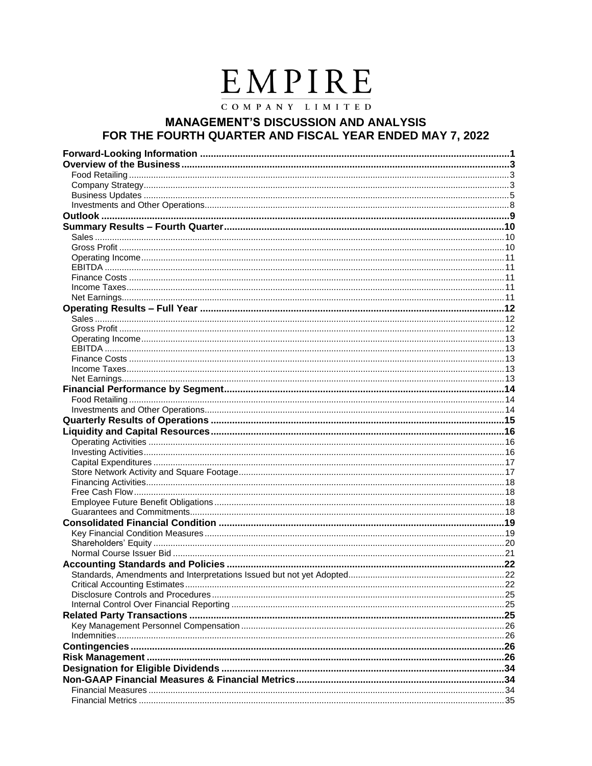# EMPIRE

COMPANY LIMITED

## **MANAGEMENT'S DISCUSSION AND ANALYSIS** FOR THE FOURTH QUARTER AND FISCAL YEAR ENDED MAY 7, 2022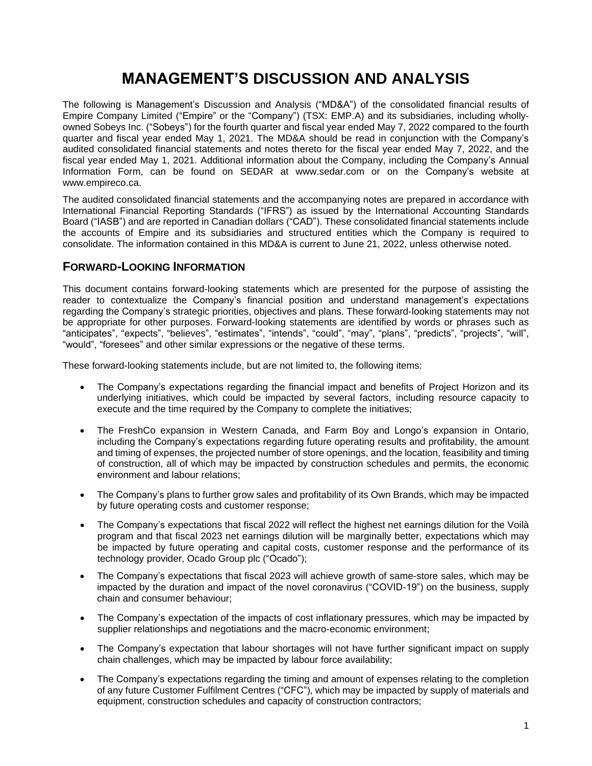## **MANAGEMENT'S DISCUSSION AND ANALYSIS**

The following is Management's Discussion and Analysis ("MD&A") of the consolidated financial results of Empire Company Limited ("Empire" or the "Company") (TSX: EMP.A) and its subsidiaries, including whollyowned Sobeys Inc. ("Sobeys") for the fourth quarter and fiscal year ended May 7, 2022 compared to the fourth quarter and fiscal year ended May 1, 2021. The MD&A should be read in conjunction with the Company's audited consolidated financial statements and notes thereto for the fiscal year ended May 7, 2022, and the fiscal year ended May 1, 2021. Additional information about the Company, including the Company's Annual Information Form, can be found on SEDAR at www.sedar.com or on the Company's website at www.empireco.ca.

The audited consolidated financial statements and the accompanying notes are prepared in accordance with International Financial Reporting Standards ("IFRS") as issued by the International Accounting Standards Board ("IASB") and are reported in Canadian dollars ("CAD"). These consolidated financial statements include the accounts of Empire and its subsidiaries and structured entities which the Company is required to consolidate. The information contained in this MD&A is current to June 21, 2022, unless otherwise noted.

## **FORWARD-LOOKING INFORMATION**

This document contains forward-looking statements which are presented for the purpose of assisting the reader to contextualize the Company's financial position and understand management's expectations regarding the Company's strategic priorities, objectives and plans. These forward-looking statements may not be appropriate for other purposes. Forward-looking statements are identified by words or phrases such as "anticipates", "expects", "believes", "estimates", "intends", "could", "may", "plans", "predicts", "projects", "will", "would", "foresees" and other similar expressions or the negative of these terms.

These forward-looking statements include, but are not limited to, the following items:

- The Company's expectations regarding the financial impact and benefits of Project Horizon and its underlying initiatives, which could be impacted by several factors, including resource capacity to execute and the time required by the Company to complete the initiatives;
- The FreshCo expansion in Western Canada, and Farm Boy and Longo's expansion in Ontario, including the Company's expectations regarding future operating results and profitability, the amount and timing of expenses, the projected number of store openings, and the location, feasibility and timing of construction, all of which may be impacted by construction schedules and permits, the economic environment and labour relations;
- The Company's plans to further grow sales and profitability of its Own Brands, which may be impacted by future operating costs and customer response;
- The Company's expectations that fiscal 2022 will reflect the highest net earnings dilution for the Voilà program and that fiscal 2023 net earnings dilution will be marginally better, expectations which may be impacted by future operating and capital costs, customer response and the performance of its technology provider, Ocado Group plc ("Ocado");
- The Company's expectations that fiscal 2023 will achieve growth of same-store sales, which may be impacted by the duration and impact of the novel coronavirus ("COVID-19") on the business, supply chain and consumer behaviour;
- The Company's expectation of the impacts of cost inflationary pressures, which may be impacted by supplier relationships and negotiations and the macro-economic environment;
- The Company's expectation that labour shortages will not have further significant impact on supply chain challenges, which may be impacted by labour force availability;
- The Company's expectations regarding the timing and amount of expenses relating to the completion of any future Customer Fulfilment Centres ("CFC"), which may be impacted by supply of materials and equipment, construction schedules and capacity of construction contractors;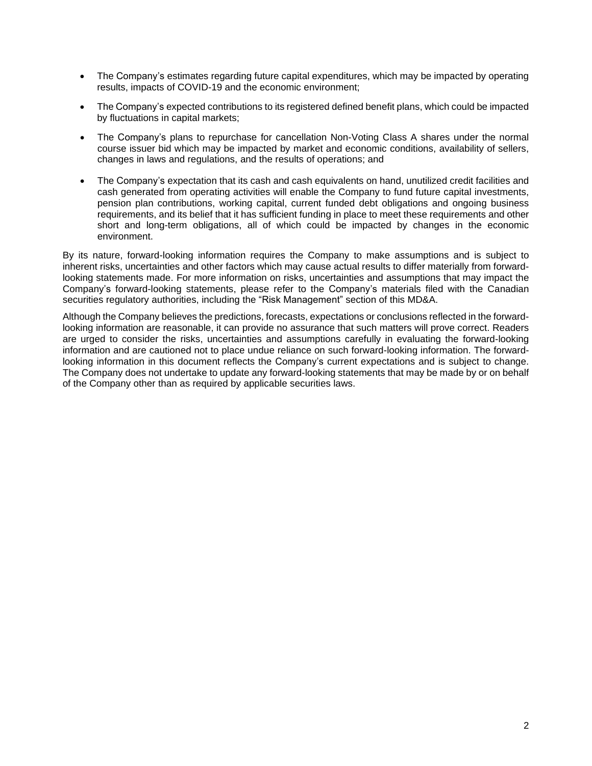- The Company's estimates regarding future capital expenditures, which may be impacted by operating results, impacts of COVID-19 and the economic environment;
- The Company's expected contributions to its registered defined benefit plans, which could be impacted by fluctuations in capital markets;
- The Company's plans to repurchase for cancellation Non-Voting Class A shares under the normal course issuer bid which may be impacted by market and economic conditions, availability of sellers, changes in laws and regulations, and the results of operations; and
- The Company's expectation that its cash and cash equivalents on hand, unutilized credit facilities and cash generated from operating activities will enable the Company to fund future capital investments, pension plan contributions, working capital, current funded debt obligations and ongoing business requirements, and its belief that it has sufficient funding in place to meet these requirements and other short and long-term obligations, all of which could be impacted by changes in the economic environment.

By its nature, forward-looking information requires the Company to make assumptions and is subject to inherent risks, uncertainties and other factors which may cause actual results to differ materially from forwardlooking statements made. For more information on risks, uncertainties and assumptions that may impact the Company's forward-looking statements, please refer to the Company's materials filed with the Canadian securities regulatory authorities, including the "Risk Management" section of this MD&A.

Although the Company believes the predictions, forecasts, expectations or conclusions reflected in the forwardlooking information are reasonable, it can provide no assurance that such matters will prove correct. Readers are urged to consider the risks, uncertainties and assumptions carefully in evaluating the forward-looking information and are cautioned not to place undue reliance on such forward-looking information. The forwardlooking information in this document reflects the Company's current expectations and is subject to change. The Company does not undertake to update any forward-looking statements that may be made by or on behalf of the Company other than as required by applicable securities laws.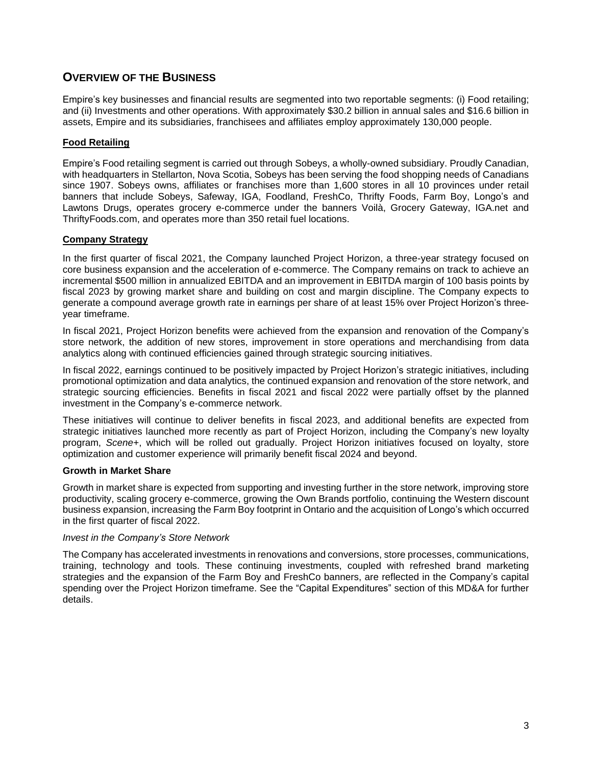## **OVERVIEW OF THE BUSINESS**

Empire's key businesses and financial results are segmented into two reportable segments: (i) Food retailing; and (ii) Investments and other operations. With approximately \$30.2 billion in annual sales and \$16.6 billion in assets, Empire and its subsidiaries, franchisees and affiliates employ approximately 130,000 people.

#### **Food Retailing**

Empire's Food retailing segment is carried out through Sobeys, a wholly-owned subsidiary. Proudly Canadian, with headquarters in Stellarton, Nova Scotia, Sobeys has been serving the food shopping needs of Canadians since 1907. Sobeys owns, affiliates or franchises more than 1,600 stores in all 10 provinces under retail banners that include Sobeys, Safeway, IGA, Foodland, FreshCo, Thrifty Foods, Farm Boy, Longo's and Lawtons Drugs, operates grocery e-commerce under the banners Voilà, Grocery Gateway, IGA.net and ThriftyFoods.com, and operates more than 350 retail fuel locations.

#### **Company Strategy**

In the first quarter of fiscal 2021, the Company launched Project Horizon, a three-year strategy focused on core business expansion and the acceleration of e-commerce. The Company remains on track to achieve an incremental \$500 million in annualized EBITDA and an improvement in EBITDA margin of 100 basis points by fiscal 2023 by growing market share and building on cost and margin discipline. The Company expects to generate a compound average growth rate in earnings per share of at least 15% over Project Horizon's threeyear timeframe.

In fiscal 2021, Project Horizon benefits were achieved from the expansion and renovation of the Company's store network, the addition of new stores, improvement in store operations and merchandising from data analytics along with continued efficiencies gained through strategic sourcing initiatives.

In fiscal 2022, earnings continued to be positively impacted by Project Horizon's strategic initiatives, including promotional optimization and data analytics, the continued expansion and renovation of the store network, and strategic sourcing efficiencies. Benefits in fiscal 2021 and fiscal 2022 were partially offset by the planned investment in the Company's e-commerce network.

These initiatives will continue to deliver benefits in fiscal 2023, and additional benefits are expected from strategic initiatives launched more recently as part of Project Horizon, including the Company's new loyalty program, *Scene+*, which will be rolled out gradually. Project Horizon initiatives focused on loyalty, store optimization and customer experience will primarily benefit fiscal 2024 and beyond.

#### **Growth in Market Share**

Growth in market share is expected from supporting and investing further in the store network, improving store productivity, scaling grocery e-commerce, growing the Own Brands portfolio, continuing the Western discount business expansion, increasing the Farm Boy footprint in Ontario and the acquisition of Longo's which occurred in the first quarter of fiscal 2022.

#### *Invest in the Company's Store Network*

The Company has accelerated investments in renovations and conversions, store processes, communications, training, technology and tools. These continuing investments, coupled with refreshed brand marketing strategies and the expansion of the Farm Boy and FreshCo banners, are reflected in the Company's capital spending over the Project Horizon timeframe. See the "Capital Expenditures" section of this MD&A for further details.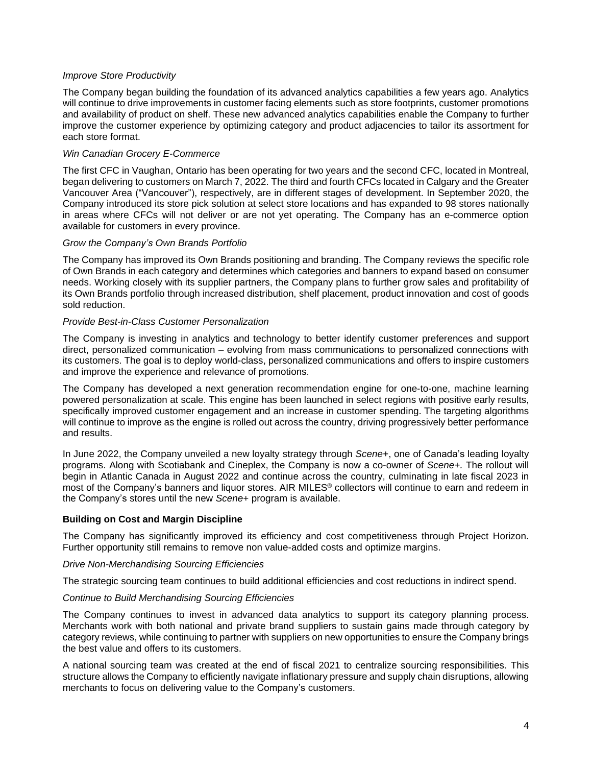#### *Improve Store Productivity*

The Company began building the foundation of its advanced analytics capabilities a few years ago. Analytics will continue to drive improvements in customer facing elements such as store footprints, customer promotions and availability of product on shelf. These new advanced analytics capabilities enable the Company to further improve the customer experience by optimizing category and product adjacencies to tailor its assortment for each store format.

#### *Win Canadian Grocery E-Commerce*

The first CFC in Vaughan, Ontario has been operating for two years and the second CFC, located in Montreal, began delivering to customers on March 7, 2022. The third and fourth CFCs located in Calgary and the Greater Vancouver Area ("Vancouver"), respectively, are in different stages of development. In September 2020, the Company introduced its store pick solution at select store locations and has expanded to 98 stores nationally in areas where CFCs will not deliver or are not yet operating. The Company has an e-commerce option available for customers in every province.

#### *Grow the Company's Own Brands Portfolio*

The Company has improved its Own Brands positioning and branding. The Company reviews the specific role of Own Brands in each category and determines which categories and banners to expand based on consumer needs. Working closely with its supplier partners, the Company plans to further grow sales and profitability of its Own Brands portfolio through increased distribution, shelf placement, product innovation and cost of goods sold reduction.

#### *Provide Best-in-Class Customer Personalization*

The Company is investing in analytics and technology to better identify customer preferences and support direct, personalized communication – evolving from mass communications to personalized connections with its customers. The goal is to deploy world-class, personalized communications and offers to inspire customers and improve the experience and relevance of promotions.

The Company has developed a next generation recommendation engine for one-to-one, machine learning powered personalization at scale. This engine has been launched in select regions with positive early results, specifically improved customer engagement and an increase in customer spending. The targeting algorithms will continue to improve as the engine is rolled out across the country, driving progressively better performance and results.

In June 2022, the Company unveiled a new loyalty strategy through *Scene+*, one of Canada's leading loyalty programs. Along with Scotiabank and Cineplex, the Company is now a co-owner of *Scene+.* The rollout will begin in Atlantic Canada in August 2022 and continue across the country, culminating in late fiscal 2023 in most of the Company's banners and liquor stores. AIR MILES® collectors will continue to earn and redeem in the Company's stores until the new *Scene+* program is available.

#### **Building on Cost and Margin Discipline**

The Company has significantly improved its efficiency and cost competitiveness through Project Horizon. Further opportunity still remains to remove non value-added costs and optimize margins.

#### *Drive Non-Merchandising Sourcing Efficiencies*

The strategic sourcing team continues to build additional efficiencies and cost reductions in indirect spend.

#### *Continue to Build Merchandising Sourcing Efficiencies*

The Company continues to invest in advanced data analytics to support its category planning process. Merchants work with both national and private brand suppliers to sustain gains made through category by category reviews, while continuing to partner with suppliers on new opportunities to ensure the Company brings the best value and offers to its customers.

A national sourcing team was created at the end of fiscal 2021 to centralize sourcing responsibilities. This structure allows the Company to efficiently navigate inflationary pressure and supply chain disruptions, allowing merchants to focus on delivering value to the Company's customers.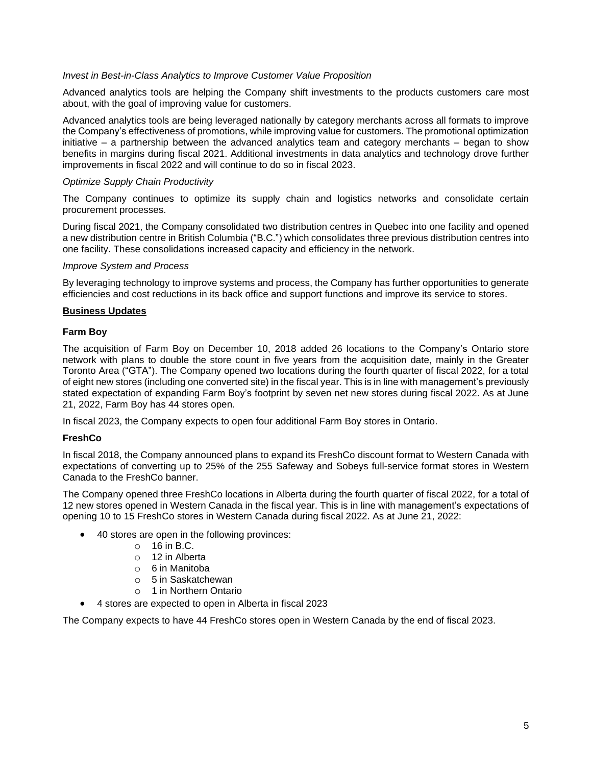#### *Invest in Best-in-Class Analytics to Improve Customer Value Proposition*

Advanced analytics tools are helping the Company shift investments to the products customers care most about, with the goal of improving value for customers.

Advanced analytics tools are being leveraged nationally by category merchants across all formats to improve the Company's effectiveness of promotions, while improving value for customers. The promotional optimization initiative – a partnership between the advanced analytics team and category merchants – began to show benefits in margins during fiscal 2021. Additional investments in data analytics and technology drove further improvements in fiscal 2022 and will continue to do so in fiscal 2023.

#### *Optimize Supply Chain Productivity*

The Company continues to optimize its supply chain and logistics networks and consolidate certain procurement processes.

During fiscal 2021, the Company consolidated two distribution centres in Quebec into one facility and opened a new distribution centre in British Columbia ("B.C.") which consolidates three previous distribution centres into one facility. These consolidations increased capacity and efficiency in the network.

#### *Improve System and Process*

By leveraging technology to improve systems and process, the Company has further opportunities to generate efficiencies and cost reductions in its back office and support functions and improve its service to stores.

#### **Business Updates**

#### **Farm Boy**

The acquisition of Farm Boy on December 10, 2018 added 26 locations to the Company's Ontario store network with plans to double the store count in five years from the acquisition date, mainly in the Greater Toronto Area ("GTA"). The Company opened two locations during the fourth quarter of fiscal 2022, for a total of eight new stores (including one converted site) in the fiscal year. This is in line with management's previously stated expectation of expanding Farm Boy's footprint by seven net new stores during fiscal 2022. As at June 21, 2022, Farm Boy has 44 stores open.

In fiscal 2023, the Company expects to open four additional Farm Boy stores in Ontario.

#### **FreshCo**

In fiscal 2018, the Company announced plans to expand its FreshCo discount format to Western Canada with expectations of converting up to 25% of the 255 Safeway and Sobeys full-service format stores in Western Canada to the FreshCo banner.

The Company opened three FreshCo locations in Alberta during the fourth quarter of fiscal 2022, for a total of 12 new stores opened in Western Canada in the fiscal year. This is in line with management's expectations of opening 10 to 15 FreshCo stores in Western Canada during fiscal 2022. As at June 21, 2022:

- 40 stores are open in the following provinces:
	- $\circ$  16 in B.C.
	- o 12 in Alberta
	- o 6 in Manitoba
	- o 5 in Saskatchewan
	- o 1 in Northern Ontario
	- 4 stores are expected to open in Alberta in fiscal 2023

The Company expects to have 44 FreshCo stores open in Western Canada by the end of fiscal 2023.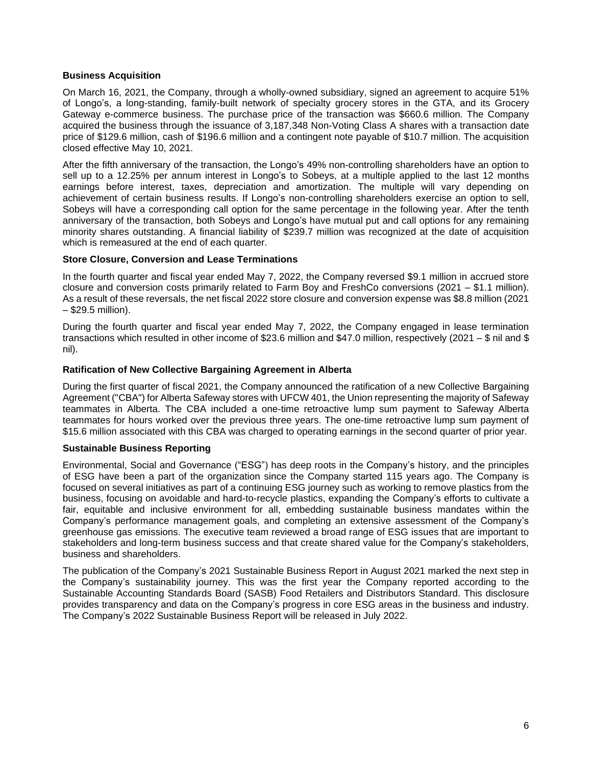#### **Business Acquisition**

On March 16, 2021, the Company, through a wholly-owned subsidiary, signed an agreement to acquire 51% of Longo's, a long-standing, family-built network of specialty grocery stores in the GTA, and its Grocery Gateway e-commerce business. The purchase price of the transaction was \$660.6 million. The Company acquired the business through the issuance of 3,187,348 Non-Voting Class A shares with a transaction date price of \$129.6 million, cash of \$196.6 million and a contingent note payable of \$10.7 million. The acquisition closed effective May 10, 2021.

After the fifth anniversary of the transaction, the Longo's 49% non-controlling shareholders have an option to sell up to a 12.25% per annum interest in Longo's to Sobeys, at a multiple applied to the last 12 months earnings before interest, taxes, depreciation and amortization. The multiple will vary depending on achievement of certain business results. If Longo's non-controlling shareholders exercise an option to sell, Sobeys will have a corresponding call option for the same percentage in the following year. After the tenth anniversary of the transaction, both Sobeys and Longo's have mutual put and call options for any remaining minority shares outstanding. A financial liability of \$239.7 million was recognized at the date of acquisition which is remeasured at the end of each quarter.

#### **Store Closure, Conversion and Lease Terminations**

In the fourth quarter and fiscal year ended May 7, 2022, the Company reversed \$9.1 million in accrued store closure and conversion costs primarily related to Farm Boy and FreshCo conversions (2021 – \$1.1 million). As a result of these reversals, the net fiscal 2022 store closure and conversion expense was \$8.8 million (2021 – \$29.5 million).

During the fourth quarter and fiscal year ended May 7, 2022, the Company engaged in lease termination transactions which resulted in other income of \$23.6 million and \$47.0 million, respectively (2021 – \$ nil and \$ nil).

#### **Ratification of New Collective Bargaining Agreement in Alberta**

During the first quarter of fiscal 2021, the Company announced the ratification of a new Collective Bargaining Agreement ("CBA") for Alberta Safeway stores with UFCW 401, the Union representing the majority of Safeway teammates in Alberta. The CBA included a one-time retroactive lump sum payment to Safeway Alberta teammates for hours worked over the previous three years. The one-time retroactive lump sum payment of \$15.6 million associated with this CBA was charged to operating earnings in the second quarter of prior year.

#### **Sustainable Business Reporting**

Environmental, Social and Governance ("ESG") has deep roots in the Company's history, and the principles of ESG have been a part of the organization since the Company started 115 years ago. The Company is focused on several initiatives as part of a continuing ESG journey such as working to remove plastics from the business, focusing on avoidable and hard-to-recycle plastics, expanding the Company's efforts to cultivate a fair, equitable and inclusive environment for all, embedding sustainable business mandates within the Company's performance management goals, and completing an extensive assessment of the Company's greenhouse gas emissions. The executive team reviewed a broad range of ESG issues that are important to stakeholders and long-term business success and that create shared value for the Company's stakeholders, business and shareholders.

The publication of the Company's 2021 Sustainable Business Report in August 2021 marked the next step in the Company's sustainability journey. This was the first year the Company reported according to the Sustainable Accounting Standards Board (SASB) Food Retailers and Distributors Standard. This disclosure provides transparency and data on the Company's progress in core ESG areas in the business and industry. The Company's 2022 Sustainable Business Report will be released in July 2022.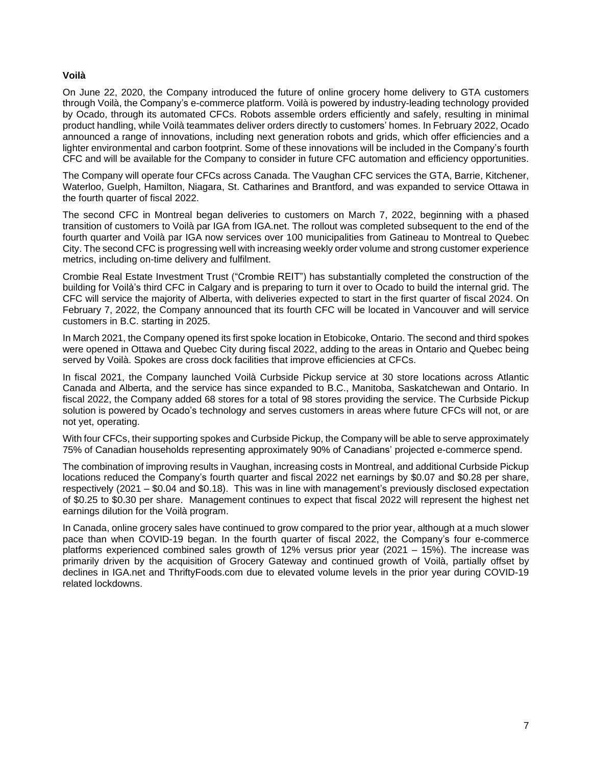#### **Voilà**

On June 22, 2020, the Company introduced the future of online grocery home delivery to GTA customers through Voilà, the Company's e-commerce platform. Voilà is powered by industry-leading technology provided by Ocado, through its automated CFCs. Robots assemble orders efficiently and safely, resulting in minimal product handling, while Voilà teammates deliver orders directly to customers' homes. In February 2022, Ocado announced a range of innovations, including next generation robots and grids, which offer efficiencies and a lighter environmental and carbon footprint. Some of these innovations will be included in the Company's fourth CFC and will be available for the Company to consider in future CFC automation and efficiency opportunities.

The Company will operate four CFCs across Canada. The Vaughan CFC services the GTA, Barrie, Kitchener, Waterloo, Guelph, Hamilton, Niagara, St. Catharines and Brantford, and was expanded to service Ottawa in the fourth quarter of fiscal 2022.

The second CFC in Montreal began deliveries to customers on March 7, 2022, beginning with a phased transition of customers to Voilà par IGA from IGA.net. The rollout was completed subsequent to the end of the fourth quarter and Voilà par IGA now services over 100 municipalities from Gatineau to Montreal to Quebec City. The second CFC is progressing well with increasing weekly order volume and strong customer experience metrics, including on-time delivery and fulfilment.

Crombie Real Estate Investment Trust ("Crombie REIT") has substantially completed the construction of the building for Voilà's third CFC in Calgary and is preparing to turn it over to Ocado to build the internal grid. The CFC will service the majority of Alberta, with deliveries expected to start in the first quarter of fiscal 2024. On February 7, 2022, the Company announced that its fourth CFC will be located in Vancouver and will service customers in B.C. starting in 2025.

In March 2021, the Company opened its first spoke location in Etobicoke, Ontario. The second and third spokes were opened in Ottawa and Quebec City during fiscal 2022, adding to the areas in Ontario and Quebec being served by Voilà. Spokes are cross dock facilities that improve efficiencies at CFCs.

In fiscal 2021, the Company launched Voilà Curbside Pickup service at 30 store locations across Atlantic Canada and Alberta, and the service has since expanded to B.C., Manitoba, Saskatchewan and Ontario. In fiscal 2022, the Company added 68 stores for a total of 98 stores providing the service. The Curbside Pickup solution is powered by Ocado's technology and serves customers in areas where future CFCs will not, or are not yet, operating.

With four CFCs, their supporting spokes and Curbside Pickup, the Company will be able to serve approximately 75% of Canadian households representing approximately 90% of Canadians' projected e-commerce spend.

The combination of improving results in Vaughan, increasing costs in Montreal, and additional Curbside Pickup locations reduced the Company's fourth quarter and fiscal 2022 net earnings by \$0.07 and \$0.28 per share, respectively (2021 – \$0.04 and \$0.18). This was in line with management's previously disclosed expectation of \$0.25 to \$0.30 per share. Management continues to expect that fiscal 2022 will represent the highest net earnings dilution for the Voilà program.

In Canada, online grocery sales have continued to grow compared to the prior year, although at a much slower pace than when COVID-19 began. In the fourth quarter of fiscal 2022, the Company's four e-commerce platforms experienced combined sales growth of 12% versus prior year (2021 – 15%). The increase was primarily driven by the acquisition of Grocery Gateway and continued growth of Voilà, partially offset by declines in IGA.net and ThriftyFoods.com due to elevated volume levels in the prior year during COVID-19 related lockdowns.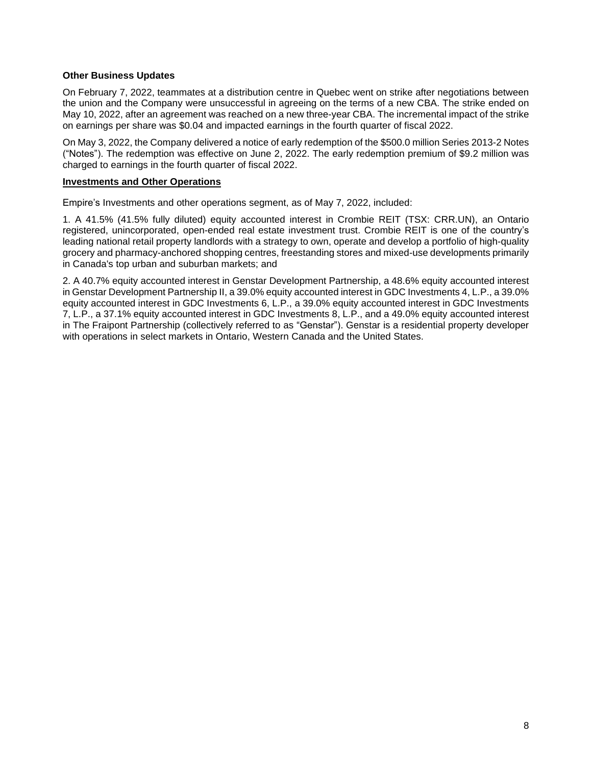#### **Other Business Updates**

On February 7, 2022, teammates at a distribution centre in Quebec went on strike after negotiations between the union and the Company were unsuccessful in agreeing on the terms of a new CBA. The strike ended on May 10, 2022, after an agreement was reached on a new three-year CBA. The incremental impact of the strike on earnings per share was \$0.04 and impacted earnings in the fourth quarter of fiscal 2022.

On May 3, 2022, the Company delivered a notice of early redemption of the \$500.0 million Series 2013-2 Notes ("Notes"). The redemption was effective on June 2, 2022. The early redemption premium of \$9.2 million was charged to earnings in the fourth quarter of fiscal 2022.

#### **Investments and Other Operations**

Empire's Investments and other operations segment, as of May 7, 2022, included:

1. A 41.5% (41.5% fully diluted) equity accounted interest in Crombie REIT (TSX: CRR.UN), an Ontario registered, unincorporated, open-ended real estate investment trust. Crombie REIT is one of the country's leading national retail property landlords with a strategy to own, operate and develop a portfolio of high-quality grocery and pharmacy-anchored shopping centres, freestanding stores and mixed-use developments primarily in Canada's top urban and suburban markets; and

2. A 40.7% equity accounted interest in Genstar Development Partnership, a 48.6% equity accounted interest in Genstar Development Partnership II, a 39.0% equity accounted interest in GDC Investments 4, L.P., a 39.0% equity accounted interest in GDC Investments 6, L.P., a 39.0% equity accounted interest in GDC Investments 7, L.P., a 37.1% equity accounted interest in GDC Investments 8, L.P., and a 49.0% equity accounted interest in The Fraipont Partnership (collectively referred to as "Genstar"). Genstar is a residential property developer with operations in select markets in Ontario, Western Canada and the United States.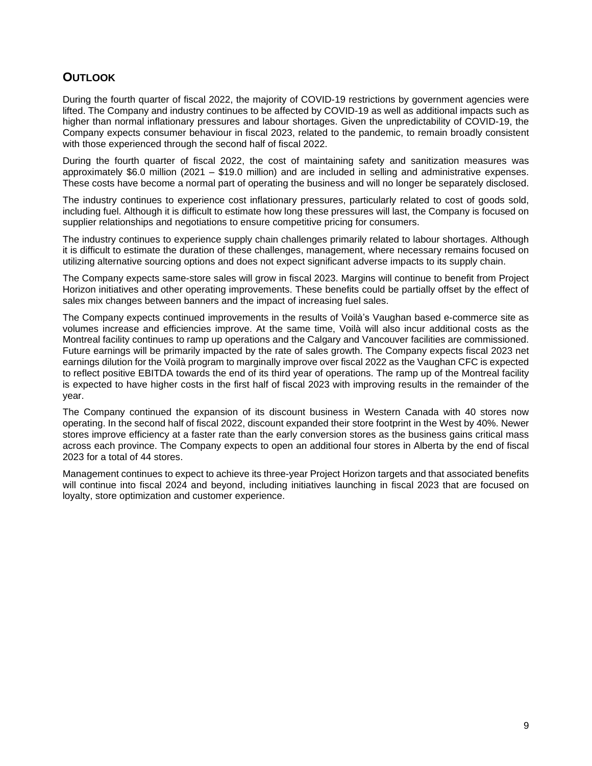## **OUTLOOK**

During the fourth quarter of fiscal 2022, the majority of COVID-19 restrictions by government agencies were lifted. The Company and industry continues to be affected by COVID-19 as well as additional impacts such as higher than normal inflationary pressures and labour shortages. Given the unpredictability of COVID-19, the Company expects consumer behaviour in fiscal 2023, related to the pandemic, to remain broadly consistent with those experienced through the second half of fiscal 2022.

During the fourth quarter of fiscal 2022, the cost of maintaining safety and sanitization measures was approximately \$6.0 million (2021 – \$19.0 million) and are included in selling and administrative expenses. These costs have become a normal part of operating the business and will no longer be separately disclosed.

The industry continues to experience cost inflationary pressures, particularly related to cost of goods sold, including fuel. Although it is difficult to estimate how long these pressures will last, the Company is focused on supplier relationships and negotiations to ensure competitive pricing for consumers.

The industry continues to experience supply chain challenges primarily related to labour shortages. Although it is difficult to estimate the duration of these challenges, management, where necessary remains focused on utilizing alternative sourcing options and does not expect significant adverse impacts to its supply chain.

The Company expects same-store sales will grow in fiscal 2023. Margins will continue to benefit from Project Horizon initiatives and other operating improvements. These benefits could be partially offset by the effect of sales mix changes between banners and the impact of increasing fuel sales.

The Company expects continued improvements in the results of Voilà's Vaughan based e-commerce site as volumes increase and efficiencies improve. At the same time, Voilà will also incur additional costs as the Montreal facility continues to ramp up operations and the Calgary and Vancouver facilities are commissioned. Future earnings will be primarily impacted by the rate of sales growth. The Company expects fiscal 2023 net earnings dilution for the Voilà program to marginally improve over fiscal 2022 as the Vaughan CFC is expected to reflect positive EBITDA towards the end of its third year of operations. The ramp up of the Montreal facility is expected to have higher costs in the first half of fiscal 2023 with improving results in the remainder of the year.

The Company continued the expansion of its discount business in Western Canada with 40 stores now operating. In the second half of fiscal 2022, discount expanded their store footprint in the West by 40%. Newer stores improve efficiency at a faster rate than the early conversion stores as the business gains critical mass across each province. The Company expects to open an additional four stores in Alberta by the end of fiscal 2023 for a total of 44 stores.

Management continues to expect to achieve its three-year Project Horizon targets and that associated benefits will continue into fiscal 2024 and beyond, including initiatives launching in fiscal 2023 that are focused on loyalty, store optimization and customer experience.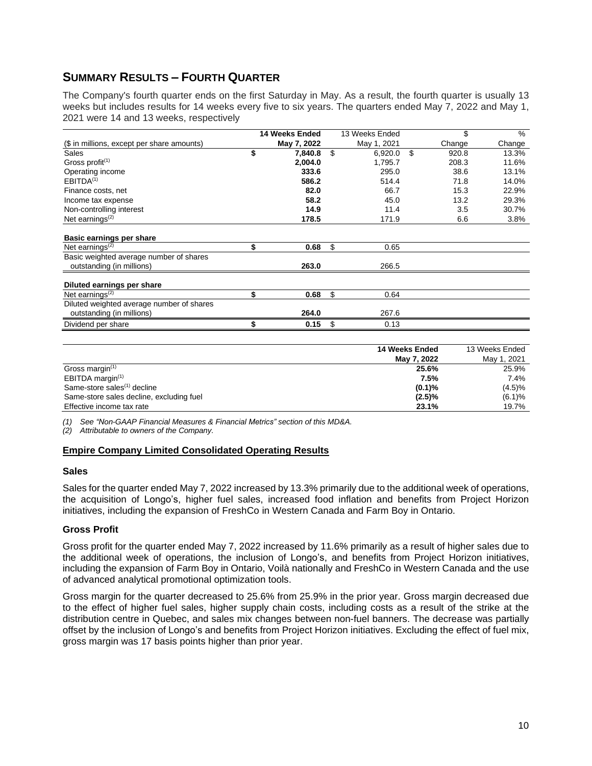## **SUMMARY RESULTS – FOURTH QUARTER**

The Company's fourth quarter ends on the first Saturday in May. As a result, the fourth quarter is usually 13 weeks but includes results for 14 weeks every five to six years. The quarters ended May 7, 2022 and May 1, 2021 were 14 and 13 weeks, respectively

|                                            | 14 Weeks Ended |    | 13 Weeks Ended | \$          | $\%$   |
|--------------------------------------------|----------------|----|----------------|-------------|--------|
| (\$ in millions, except per share amounts) | May 7, 2022    |    | May 1, 2021    | Change      | Change |
| Sales<br>\$                                | 7,840.8        | \$ | 6,920.0        | \$<br>920.8 | 13.3%  |
| Gross profit $(1)$                         | 2,004.0        |    | 1,795.7        | 208.3       | 11.6%  |
| Operating income                           | 333.6          |    | 295.0          | 38.6        | 13.1%  |
| EBITDA <sup>(1)</sup>                      | 586.2          |    | 514.4          | 71.8        | 14.0%  |
| Finance costs, net                         | 82.0           |    | 66.7           | 15.3        | 22.9%  |
| Income tax expense                         | 58.2           |    | 45.0           | 13.2        | 29.3%  |
| Non-controlling interest                   | 14.9           |    | 11.4           | 3.5         | 30.7%  |
| Net earnings <sup>(2)</sup>                | 178.5          |    | 171.9          | 6.6         | 3.8%   |
| Basic earnings per share                   |                |    |                |             |        |
| \$<br>Net earnings $(2)$                   | 0.68           | \$ | 0.65           |             |        |
| Basic weighted average number of shares    |                |    |                |             |        |
| outstanding (in millions)                  | 263.0          |    | 266.5          |             |        |
| Diluted earnings per share                 |                |    |                |             |        |
| Net earnings $(2)$<br>\$                   | 0.68           | \$ | 0.64           |             |        |
| Diluted weighted average number of shares  |                |    |                |             |        |
| outstanding (in millions)                  | 264.0          |    | 267.6          |             |        |
| Dividend per share<br>\$                   | 0.15           | \$ | 0.13           |             |        |

|                                          | 14 Weeks Ended | 13 Weeks Ended |
|------------------------------------------|----------------|----------------|
|                                          | May 7, 2022    | May 1, 2021    |
| Gross margin <sup>(1)</sup>              | 25.6%          | 25.9%          |
| EBITDA margin <sup>(1)</sup>             | 7.5%           | 7.4%           |
| Same-store sales <sup>(1)</sup> decline  | (0.1)%         | $(4.5)\%$      |
| Same-store sales decline, excluding fuel | (2.5)%         | (6.1)%         |
| Effective income tax rate                | 23.1%          | 19.7%          |

*(1) See "Non-GAAP Financial Measures & Financial Metrics" section of this MD&A.*

*(2) Attributable to owners of the Company.*

#### **Empire Company Limited Consolidated Operating Results**

#### **Sales**

Sales for the quarter ended May 7, 2022 increased by 13.3% primarily due to the additional week of operations, the acquisition of Longo's, higher fuel sales, increased food inflation and benefits from Project Horizon initiatives, including the expansion of FreshCo in Western Canada and Farm Boy in Ontario.

#### **Gross Profit**

Gross profit for the quarter ended May 7, 2022 increased by 11.6% primarily as a result of higher sales due to the additional week of operations, the inclusion of Longo's, and benefits from Project Horizon initiatives, including the expansion of Farm Boy in Ontario, Voilà nationally and FreshCo in Western Canada and the use of advanced analytical promotional optimization tools.

Gross margin for the quarter decreased to 25.6% from 25.9% in the prior year. Gross margin decreased due to the effect of higher fuel sales, higher supply chain costs, including costs as a result of the strike at the distribution centre in Quebec, and sales mix changes between non-fuel banners. The decrease was partially offset by the inclusion of Longo's and benefits from Project Horizon initiatives. Excluding the effect of fuel mix, gross margin was 17 basis points higher than prior year.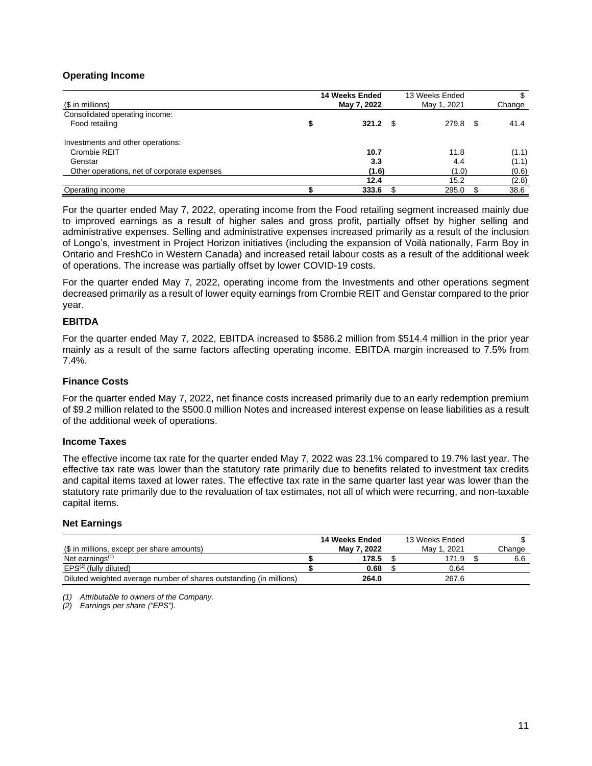#### **Operating Income**

| (\$ in millions)                            | 14 Weeks Ended<br>May 7, 2022 | 13 Weeks Ended<br>May 1, 2021 | Change |
|---------------------------------------------|-------------------------------|-------------------------------|--------|
| Consolidated operating income:              |                               |                               |        |
| Food retailing                              | $321.2$ \$                    | 279.8 \$                      | 41.4   |
| Investments and other operations:           |                               |                               |        |
| Crombie REIT                                | 10.7                          | 11.8                          | (1.1)  |
| Genstar                                     | 3.3                           | 4.4                           | (1.1)  |
| Other operations, net of corporate expenses | (1.6)                         | (1.0)                         | (0.6)  |
|                                             | 12.4                          | 15.2                          | (2.8)  |
| Operating income                            | 333.6                         | 295.0                         | 38.6   |

For the quarter ended May 7, 2022, operating income from the Food retailing segment increased mainly due to improved earnings as a result of higher sales and gross profit, partially offset by higher selling and administrative expenses. Selling and administrative expenses increased primarily as a result of the inclusion of Longo's, investment in Project Horizon initiatives (including the expansion of Voilà nationally, Farm Boy in Ontario and FreshCo in Western Canada) and increased retail labour costs as a result of the additional week of operations. The increase was partially offset by lower COVID-19 costs.

For the quarter ended May 7, 2022, operating income from the Investments and other operations segment decreased primarily as a result of lower equity earnings from Crombie REIT and Genstar compared to the prior year.

#### **EBITDA**

For the quarter ended May 7, 2022, EBITDA increased to \$586.2 million from \$514.4 million in the prior year mainly as a result of the same factors affecting operating income. EBITDA margin increased to 7.5% from 7.4%.

#### **Finance Costs**

For the quarter ended May 7, 2022, net finance costs increased primarily due to an early redemption premium of \$9.2 million related to the \$500.0 million Notes and increased interest expense on lease liabilities as a result of the additional week of operations.

#### **Income Taxes**

The effective income tax rate for the quarter ended May 7, 2022 was 23.1% compared to 19.7% last year. The effective tax rate was lower than the statutory rate primarily due to benefits related to investment tax credits and capital items taxed at lower rates. The effective tax rate in the same quarter last year was lower than the statutory rate primarily due to the revaluation of tax estimates, not all of which were recurring, and non-taxable capital items.

#### **Net Earnings**

|                                                                     | 14 Weeks Ended | 13 Weeks Ended |        |
|---------------------------------------------------------------------|----------------|----------------|--------|
| (\$ in millions, except per share amounts)                          | Mav 7. 2022    | Mav 1, 2021    | Change |
| Net earnings $(1)$                                                  | 178.5          | 171.9          | 6.6    |
| $EPS^{(2)}$ (fully diluted)                                         | 0.68           | 0.64           |        |
| Diluted weighted average number of shares outstanding (in millions) | 264.0          | 267.6          |        |

*(1) Attributable to owners of the Company.*

*(2) Earnings per share ("EPS").*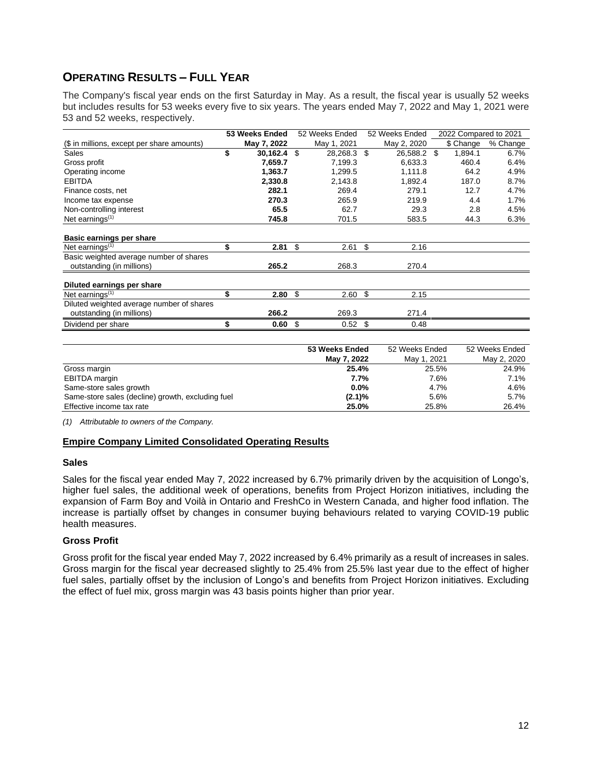## **OPERATING RESULTS – FULL YEAR**

The Company's fiscal year ends on the first Saturday in May. As a result, the fiscal year is usually 52 weeks but includes results for 53 weeks every five to six years. The years ended May 7, 2022 and May 1, 2021 were 53 and 52 weeks, respectively.

|                                            | 53 Weeks Ended | 52 Weeks Ended    | 52 Weeks Ended | 2022 Compared to 2021 |          |
|--------------------------------------------|----------------|-------------------|----------------|-----------------------|----------|
| (\$ in millions, except per share amounts) | May 7, 2022    | May 1, 2021       | May 2, 2020    | \$ Change             | % Change |
| Sales                                      | \$<br>30,162.4 | \$<br>28,268.3 \$ | 26,588.2 \$    | 1,894.1               | 6.7%     |
| Gross profit                               | 7,659.7        | 7,199.3           | 6,633.3        | 460.4                 | 6.4%     |
| Operating income                           | 1,363.7        | 1,299.5           | 1,111.8        | 64.2                  | 4.9%     |
| <b>EBITDA</b>                              | 2,330.8        | 2,143.8           | 1,892.4        | 187.0                 | 8.7%     |
| Finance costs, net                         | 282.1          | 269.4             | 279.1          | 12.7                  | 4.7%     |
| Income tax expense                         | 270.3          | 265.9             | 219.9          | 4.4                   | 1.7%     |
| Non-controlling interest                   | 65.5           | 62.7              | 29.3           | 2.8                   | 4.5%     |
| Net earnings $(1)$                         | 745.8          | 701.5             | 583.5          | 44.3                  | 6.3%     |
| Basic earnings per share                   |                |                   |                |                       |          |
| Net earnings $(1)$                         | \$<br>2.81     | \$<br>2.61        | \$<br>2.16     |                       |          |
| Basic weighted average number of shares    |                |                   |                |                       |          |
| outstanding (in millions)                  | 265.2          | 268.3             | 270.4          |                       |          |
| Diluted earnings per share                 |                |                   |                |                       |          |
| Net earnings $(1)$                         | \$<br>2.80     | \$<br>2.60        | \$<br>2.15     |                       |          |
| Diluted weighted average number of shares  |                |                   |                |                       |          |
| outstanding (in millions)                  | 266.2          | 269.3             | 271.4          |                       |          |
| Dividend per share                         | \$<br>0.60     | \$<br>0.52        | \$<br>0.48     |                       |          |

|                                                   | 53 Weeks Ended | 52 Weeks Ended | 52 Weeks Ended |
|---------------------------------------------------|----------------|----------------|----------------|
|                                                   | May 7, 2022    | May 1, 2021    | May 2, 2020    |
| Gross margin                                      | 25.4%          | 25.5%          | 24.9%          |
| EBITDA margin                                     | 7.7%           | 7.6%           | 7.1%           |
| Same-store sales growth                           | $0.0\%$        | 4.7%           | 4.6%           |
| Same-store sales (decline) growth, excluding fuel | $(2.1)\%$      | 5.6%           | $5.7\%$        |
| Effective income tax rate                         | 25.0%          | 25.8%          | 26.4%          |

*(1) Attributable to owners of the Company.*

#### **Empire Company Limited Consolidated Operating Results**

#### **Sales**

Sales for the fiscal year ended May 7, 2022 increased by 6.7% primarily driven by the acquisition of Longo's, higher fuel sales, the additional week of operations, benefits from Project Horizon initiatives, including the expansion of Farm Boy and Voilà in Ontario and FreshCo in Western Canada, and higher food inflation. The increase is partially offset by changes in consumer buying behaviours related to varying COVID-19 public health measures.

#### **Gross Profit**

Gross profit for the fiscal year ended May 7, 2022 increased by 6.4% primarily as a result of increases in sales. Gross margin for the fiscal year decreased slightly to 25.4% from 25.5% last year due to the effect of higher fuel sales, partially offset by the inclusion of Longo's and benefits from Project Horizon initiatives. Excluding the effect of fuel mix, gross margin was 43 basis points higher than prior year.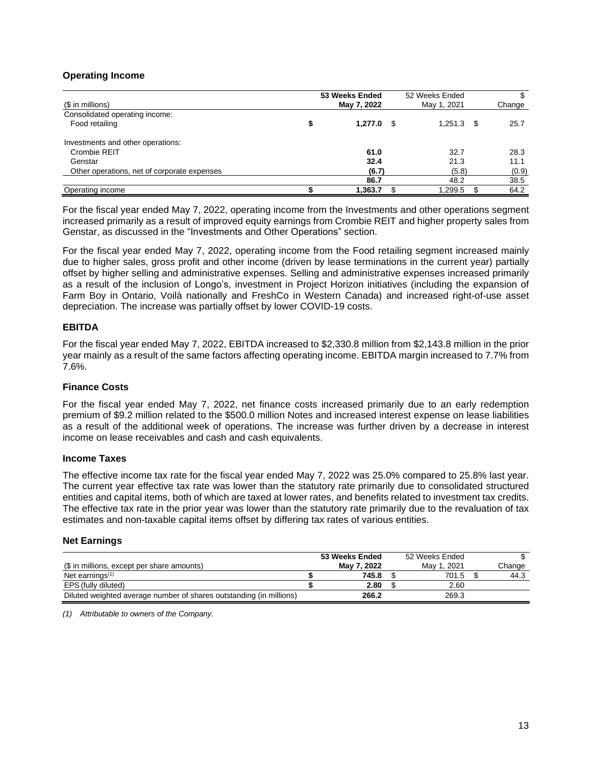#### **Operating Income**

| (\$ in millions)                            | 53 Weeks Ended<br>May 7, 2022 | 52 Weeks Ended<br>May 1, 2021 | Change |
|---------------------------------------------|-------------------------------|-------------------------------|--------|
| Consolidated operating income:              |                               |                               |        |
| Food retailing                              | \$<br>$1,277.0$ \$            | $1,251.3$ \$                  | 25.7   |
| Investments and other operations:           |                               |                               |        |
| Crombie REIT                                | 61.0                          | 32.7                          | 28.3   |
| Genstar                                     | 32.4                          | 21.3                          | 11.1   |
| Other operations, net of corporate expenses | (6.7)                         | (5.8)                         | (0.9)  |
|                                             | 86.7                          | 48.2                          | 38.5   |
| Operating income                            | 1,363.7                       | 1,299.5                       | 64.2   |

For the fiscal year ended May 7, 2022, operating income from the Investments and other operations segment increased primarily as a result of improved equity earnings from Crombie REIT and higher property sales from Genstar, as discussed in the "Investments and Other Operations" section.

For the fiscal year ended May 7, 2022, operating income from the Food retailing segment increased mainly due to higher sales, gross profit and other income (driven by lease terminations in the current year) partially offset by higher selling and administrative expenses. Selling and administrative expenses increased primarily as a result of the inclusion of Longo's, investment in Project Horizon initiatives (including the expansion of Farm Boy in Ontario, Voilà nationally and FreshCo in Western Canada) and increased right-of-use asset depreciation. The increase was partially offset by lower COVID-19 costs.

#### **EBITDA**

For the fiscal year ended May 7, 2022, EBITDA increased to \$2,330.8 million from \$2,143.8 million in the prior year mainly as a result of the same factors affecting operating income. EBITDA margin increased to 7.7% from 7.6%.

#### **Finance Costs**

For the fiscal year ended May 7, 2022, net finance costs increased primarily due to an early redemption premium of \$9.2 million related to the \$500.0 million Notes and increased interest expense on lease liabilities as a result of the additional week of operations. The increase was further driven by a decrease in interest income on lease receivables and cash and cash equivalents.

#### **Income Taxes**

The effective income tax rate for the fiscal year ended May 7, 2022 was 25.0% compared to 25.8% last year. The current year effective tax rate was lower than the statutory rate primarily due to consolidated structured entities and capital items, both of which are taxed at lower rates, and benefits related to investment tax credits. The effective tax rate in the prior year was lower than the statutory rate primarily due to the revaluation of tax estimates and non-taxable capital items offset by differing tax rates of various entities.

#### **Net Earnings**

|                                                                     | 53 Weeks Ended | 52 Weeks Ended   |        |
|---------------------------------------------------------------------|----------------|------------------|--------|
| (\$ in millions, except per share amounts)                          | May 7, 2022    | . 2021<br>May 1. | Change |
| Net earnings $(1)$                                                  | 745.8          | 701.5            | 44.3   |
| EPS (fully diluted)                                                 | 2.80           | 2.60             |        |
| Diluted weighted average number of shares outstanding (in millions) | 266.2          | 269.3            |        |

*(1) Attributable to owners of the Company.*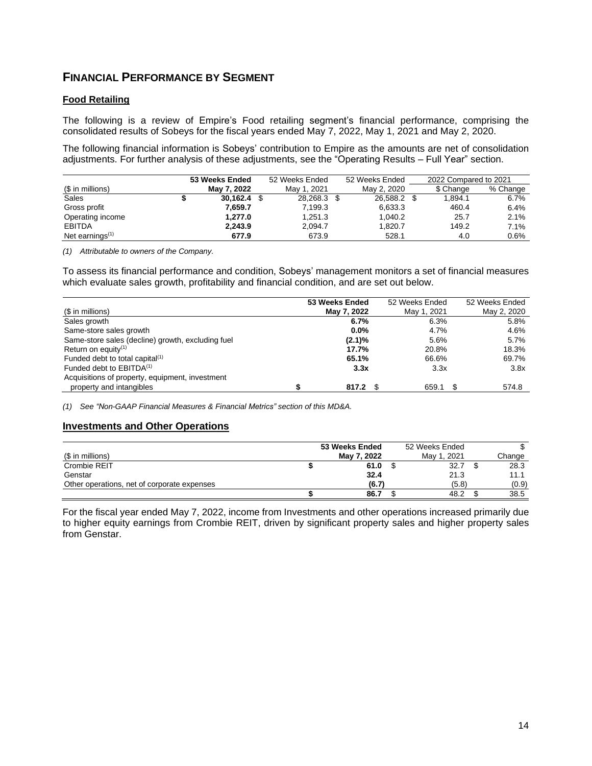## **FINANCIAL PERFORMANCE BY SEGMENT**

#### **Food Retailing**

The following is a review of Empire's Food retailing segment's financial performance, comprising the consolidated results of Sobeys for the fiscal years ended May 7, 2022, May 1, 2021 and May 2, 2020.

The following financial information is Sobeys' contribution to Empire as the amounts are net of consolidation adjustments. For further analysis of these adjustments, see the "Operating Results – Full Year" section.

|                    | 53 Weeks Ended |               | 52 Weeks Ended |             | 52 Weeks Ended |  | 2022 Compared to 2021 |          |
|--------------------|----------------|---------------|----------------|-------------|----------------|--|-----------------------|----------|
| (\$ in millions)   |                | May 7, 2022   |                | Mav 1, 2021 | May 2, 2020    |  | \$ Change             | % Change |
| Sales              |                | $30.162.4$ \$ |                | 28,268.3 \$ | 26,588.2 \$    |  | 1.894.1               | 6.7%     |
| Gross profit       |                | 7.659.7       |                | 7.199.3     | 6,633.3        |  | 460.4                 | 6.4%     |
| Operating income   |                | 1.277.0       |                | 1,251.3     | 1,040.2        |  | 25.7                  | 2.1%     |
| <b>EBITDA</b>      |                | 2,243.9       |                | 2,094.7     | 1,820.7        |  | 149.2                 | 7.1%     |
| Net earnings $(1)$ |                | 677.9         |                | 673.9       | 528.1          |  | 4.0                   | $0.6\%$  |

*(1) Attributable to owners of the Company.*

To assess its financial performance and condition, Sobeys' management monitors a set of financial measures which evaluate sales growth, profitability and financial condition, and are set out below.

|                                                   | 53 Weeks Ended | 52 Weeks Ended | 52 Weeks Ended |
|---------------------------------------------------|----------------|----------------|----------------|
| (\$ in millions)                                  | May 7, 2022    | May 1, 2021    | May 2, 2020    |
| Sales growth                                      | 6.7%           | 6.3%           | 5.8%           |
| Same-store sales growth                           | $0.0\%$        | 4.7%           | 4.6%           |
| Same-store sales (decline) growth, excluding fuel | $(2.1)\%$      | 5.6%           | 5.7%           |
| Return on equity <sup>(1)</sup>                   | 17.7%          | 20.8%          | 18.3%          |
| Funded debt to total capital <sup>(1)</sup>       | 65.1%          | 66.6%          | 69.7%          |
| Funded debt to $EBITDA(1)$                        | 3.3x           | 3.3x           | 3.8x           |
| Acquisitions of property, equipment, investment   |                |                |                |
| property and intangibles                          | 817.2          | 659.1          | 574.8          |

*(1) See "Non-GAAP Financial Measures & Financial Metrics" section of this MD&A.*

#### **Investments and Other Operations**

|                                             | 53 Weeks Ended | 52 Weeks Ended |        |
|---------------------------------------------|----------------|----------------|--------|
| (\$ in millions)                            | May 7, 2022    | May 1, 2021    | Change |
| Crombie REIT                                | 61.0           | 32.7           | 28.3   |
| Genstar                                     | 32.4           | 21.3           | 11.1   |
| Other operations, net of corporate expenses | (6.7)          | (5.8)          | (0.9)  |
|                                             | 86.7           | 48.2           | 38.5   |

For the fiscal year ended May 7, 2022, income from Investments and other operations increased primarily due to higher equity earnings from Crombie REIT, driven by significant property sales and higher property sales from Genstar.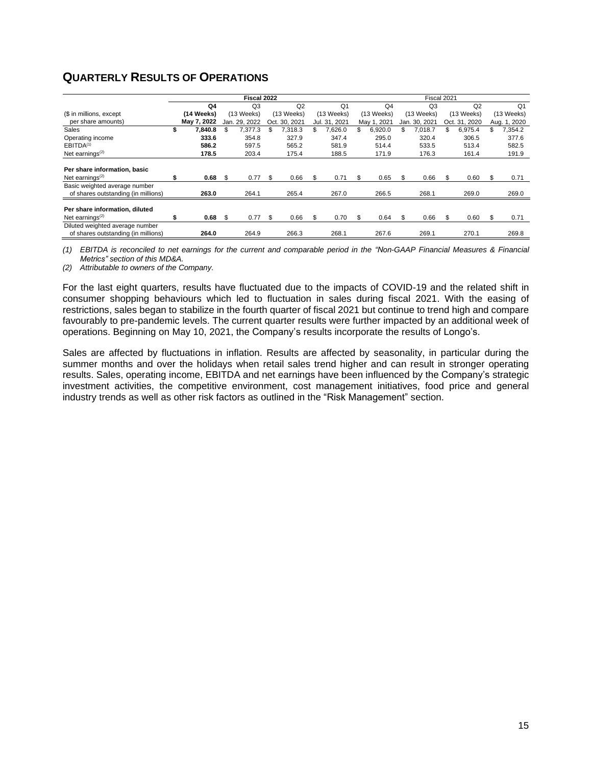## **QUARTERLY RESULTS OF OPERATIONS**

|                                                                        | Fiscal 2022 |             |     |                |    |               |    | Fiscal 2021    |     |                |    |                |     |               |   |              |
|------------------------------------------------------------------------|-------------|-------------|-----|----------------|----|---------------|----|----------------|-----|----------------|----|----------------|-----|---------------|---|--------------|
|                                                                        |             | Q4          |     | Q <sub>3</sub> |    | Q2            |    | Q <sub>1</sub> |     | Q <sub>4</sub> |    | Q <sub>3</sub> |     | Q2            |   | Q1           |
| (\$ in millions, except                                                |             | (14 Weeks)  |     | (13 Weeks)     |    | (13 Weeks)    |    | (13 Weeks)     |     | (13 Weeks)     |    | (13 Weeks)     |     | (13 Weeks)    |   | (13 Weeks)   |
| per share amounts)                                                     |             | May 7, 2022 |     | Jan. 29, 2022  |    | Oct. 30, 2021 |    | Jul. 31, 2021  |     | May 1, 2021    |    | Jan. 30, 2021  |     | Oct. 31, 2020 |   | Aug. 1, 2020 |
| Sales                                                                  |             | 7,840.8     | \$  | 7.377.3        | \$ | 7.318.3       | \$ | 7.626.0        | \$  | 6,920.0        | S  | 7.018.7        | \$  | 6,975.4       |   | 7.354.2      |
| Operating income                                                       |             | 333.6       |     | 354.8          |    | 327.9         |    | 347.4          |     | 295.0          |    | 320.4          |     | 306.5         |   | 377.6        |
| EBITDA <sup>(1)</sup>                                                  |             | 586.2       |     | 597.5          |    | 565.2         |    | 581.9          |     | 514.4          |    | 533.5          |     | 513.4         |   | 582.5        |
| Net earnings $(2)$                                                     |             | 178.5       |     | 203.4          |    | 175.4         |    | 188.5          |     | 171.9          |    | 176.3          |     | 161.4         |   | 191.9        |
| Per share information, basic                                           |             |             |     |                |    |               |    |                |     |                |    |                |     |               |   |              |
| Net earnings $(2)$                                                     |             | 0.68        | \$. | 0.77           | \$ | 0.66          | \$ | 0.71           | \$  | 0.65           |    | 0.66           | \$  | 0.60          |   | 0.71         |
| Basic weighted average number<br>of shares outstanding (in millions)   |             | 263.0       |     | 264.1          |    | 265.4         |    | 267.0          |     | 266.5          |    | 268.1          |     | 269.0         |   | 269.0        |
| Per share information, diluted                                         |             |             |     |                |    |               |    |                |     |                |    |                |     |               |   |              |
| Net earnings $(2)$                                                     |             | 0.68        | \$  | 0.77           | \$ | 0.66          | \$ | 0.70           | \$. | 0.64           | £. | 0.66           | \$. | 0.60          | S | 0.71         |
| Diluted weighted average number<br>of shares outstanding (in millions) |             | 264.0       |     | 264.9          |    | 266.3         |    | 268.1          |     | 267.6          |    | 269.1          |     | 270.1         |   | 269.8        |

(1) EBITDA is reconciled to net earnings for the current and comparable period in the "Non-GAAP Financial Measures & Financial *Metrics" section of this MD&A.*

*(2) Attributable to owners of the Company.*

For the last eight quarters, results have fluctuated due to the impacts of COVID-19 and the related shift in consumer shopping behaviours which led to fluctuation in sales during fiscal 2021. With the easing of restrictions, sales began to stabilize in the fourth quarter of fiscal 2021 but continue to trend high and compare favourably to pre-pandemic levels. The current quarter results were further impacted by an additional week of operations. Beginning on May 10, 2021, the Company's results incorporate the results of Longo's.

Sales are affected by fluctuations in inflation. Results are affected by seasonality, in particular during the summer months and over the holidays when retail sales trend higher and can result in stronger operating results. Sales, operating income, EBITDA and net earnings have been influenced by the Company's strategic investment activities, the competitive environment, cost management initiatives, food price and general industry trends as well as other risk factors as outlined in the "Risk Management" section.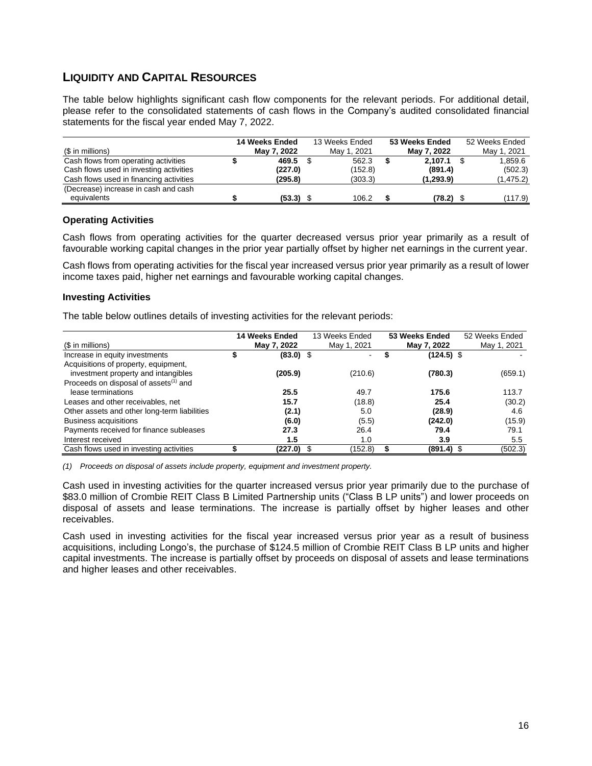## **LIQUIDITY AND CAPITAL RESOURCES**

The table below highlights significant cash flow components for the relevant periods. For additional detail, please refer to the consolidated statements of cash flows in the Company's audited consolidated financial statements for the fiscal year ended May 7, 2022.

|                                         | 14 Weeks Ended | 13 Weeks Ended | 53 Weeks Ended | 52 Weeks Ended |
|-----------------------------------------|----------------|----------------|----------------|----------------|
| (\$ in millions)                        | May 7, 2022    | May 1, 2021    | May 7, 2022    | May 1, 2021    |
| Cash flows from operating activities    | 469.5          | 562.3          | 2.107.1        | 1.859.6        |
| Cash flows used in investing activities | (227.0)        | (152.8)        | (891.4)        | (502.3)        |
| Cash flows used in financing activities | (295.8)        | (303.3)        | (1, 293.9)     | (1, 475.2)     |
| (Decrease) increase in cash and cash    |                |                |                |                |
| equivalents                             | (53.3)         | 106.2          | (78.2)         | (117.9)        |

#### **Operating Activities**

Cash flows from operating activities for the quarter decreased versus prior year primarily as a result of favourable working capital changes in the prior year partially offset by higher net earnings in the current year.

Cash flows from operating activities for the fiscal year increased versus prior year primarily as a result of lower income taxes paid, higher net earnings and favourable working capital changes.

#### **Investing Activities**

The table below outlines details of investing activities for the relevant periods:

|                                                   | 14 Weeks Ended | 13 Weeks Ended | 53 Weeks Ended | 52 Weeks Ended |
|---------------------------------------------------|----------------|----------------|----------------|----------------|
| (\$ in millions)                                  | May 7, 2022    | May 1, 2021    | May 7, 2022    | May 1, 2021    |
| Increase in equity investments                    | $(83.0)$ \$    | ۰.             | $(124.5)$ \$   |                |
| Acquisitions of property, equipment,              |                |                |                |                |
| investment property and intangibles               | (205.9)        | (210.6)        | (780.3)        | (659.1)        |
| Proceeds on disposal of assets <sup>(1)</sup> and |                |                |                |                |
| lease terminations                                | 25.5           | 49.7           | 175.6          | 113.7          |
| Leases and other receivables, net                 | 15.7           | (18.8)         | 25.4           | (30.2)         |
| Other assets and other long-term liabilities      | (2.1)          | 5.0            | (28.9)         | 4.6            |
| <b>Business acquisitions</b>                      | (6.0)          | (5.5)          | (242.0)        | (15.9)         |
| Payments received for finance subleases           | 27.3           | 26.4           | 79.4           | 79.1           |
| Interest received                                 | 1.5            | 1.0            | 3.9            | 5.5            |
| Cash flows used in investing activities           | (227.0)        | (152.8)        | $(891.4)$ \$   | (502.3)        |

*(1) Proceeds on disposal of assets include property, equipment and investment property.*

Cash used in investing activities for the quarter increased versus prior year primarily due to the purchase of \$83.0 million of Crombie REIT Class B Limited Partnership units ("Class B LP units") and lower proceeds on disposal of assets and lease terminations. The increase is partially offset by higher leases and other receivables.

Cash used in investing activities for the fiscal year increased versus prior year as a result of business acquisitions, including Longo's, the purchase of \$124.5 million of Crombie REIT Class B LP units and higher capital investments. The increase is partially offset by proceeds on disposal of assets and lease terminations and higher leases and other receivables.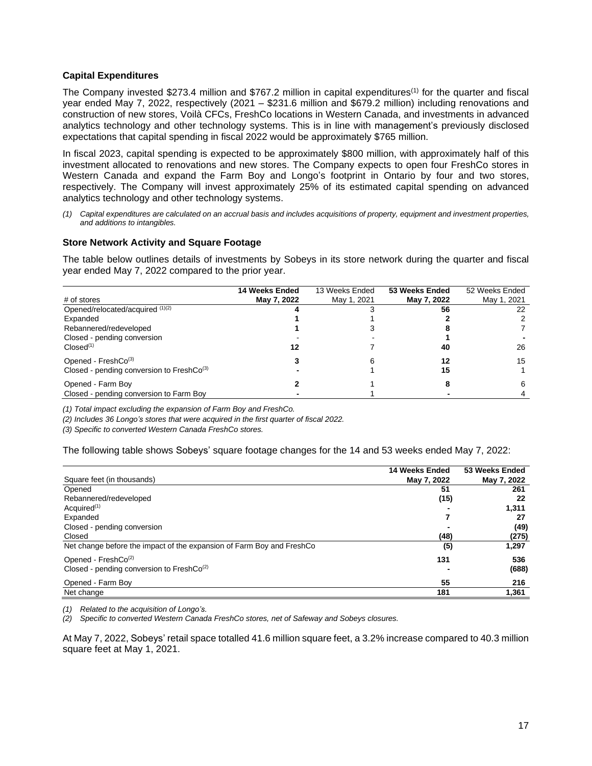#### **Capital Expenditures**

The Company invested \$273.4 million and \$767.2 million in capital expenditures(1) for the quarter and fiscal year ended May 7, 2022, respectively (2021 – \$231.6 million and \$679.2 million) including renovations and construction of new stores, Voilà CFCs, FreshCo locations in Western Canada, and investments in advanced analytics technology and other technology systems. This is in line with management's previously disclosed expectations that capital spending in fiscal 2022 would be approximately \$765 million.

In fiscal 2023, capital spending is expected to be approximately \$800 million, with approximately half of this investment allocated to renovations and new stores. The Company expects to open four FreshCo stores in Western Canada and expand the Farm Boy and Longo's footprint in Ontario by four and two stores, respectively. The Company will invest approximately 25% of its estimated capital spending on advanced analytics technology and other technology systems.

(1) Capital expenditures are calculated on an accrual basis and includes acquisitions of property, equipment and investment properties, *and additions to intangibles.*

#### **Store Network Activity and Square Footage**

The table below outlines details of investments by Sobeys in its store network during the quarter and fiscal year ended May 7, 2022 compared to the prior year.

|                                           | 14 Weeks Ended | 13 Weeks Ended | 53 Weeks Ended | 52 Weeks Ended |
|-------------------------------------------|----------------|----------------|----------------|----------------|
| # of stores                               | May 7, 2022    | May 1, 2021    | May 7, 2022    | May 1, 2021    |
| Opened/relocated/acquired (1)(2)          |                |                | 56             | 22             |
| Expanded                                  |                |                |                |                |
| Rebannered/redeveloped                    |                |                |                |                |
| Closed - pending conversion               |                |                |                |                |
| $Closed^{(1)}$                            | 12             |                | 40             | 26             |
| Opened - $FreshCo(3)$                     |                | ิค             | 12             | 15             |
| Closed - pending conversion to FreshCo(3) |                |                | 15             |                |
| Opened - Farm Boy                         |                |                |                | 6              |
| Closed - pending conversion to Farm Boy   |                |                |                |                |

*(1) Total impact excluding the expansion of Farm Boy and FreshCo.*

*(2) Includes 36 Longo's stores that were acquired in the first quarter of fiscal 2022.*

*(3) Specific to converted Western Canada FreshCo stores.*

The following table shows Sobeys' square footage changes for the 14 and 53 weeks ended May 7, 2022:

|                                                                       | 14 Weeks Ended | 53 Weeks Ended |
|-----------------------------------------------------------------------|----------------|----------------|
| Square feet (in thousands)                                            | May 7, 2022    | May 7, 2022    |
| Opened                                                                | 51             | 261            |
| Rebannered/redeveloped                                                | (15)           | 22             |
| Acquired <sup>(1)</sup>                                               |                | 1,311          |
| Expanded                                                              |                | 27             |
| Closed - pending conversion                                           |                | (49)           |
| Closed                                                                | (48)           | (275)          |
| Net change before the impact of the expansion of Farm Boy and FreshCo | (5)            | 1,297          |
| Opened - $FreshCo(2)$                                                 | 131            | 536            |
| Closed - pending conversion to FreshCo <sup>(2)</sup>                 |                | (688)          |
| Opened - Farm Boy                                                     | 55             | 216            |
| Net change                                                            | 181            | 1,361          |

*(1) Related to the acquisition of Longo's.*

*(2) Specific to converted Western Canada FreshCo stores, net of Safeway and Sobeys closures.*

At May 7, 2022, Sobeys' retail space totalled 41.6 million square feet, a 3.2% increase compared to 40.3 million square feet at May 1, 2021.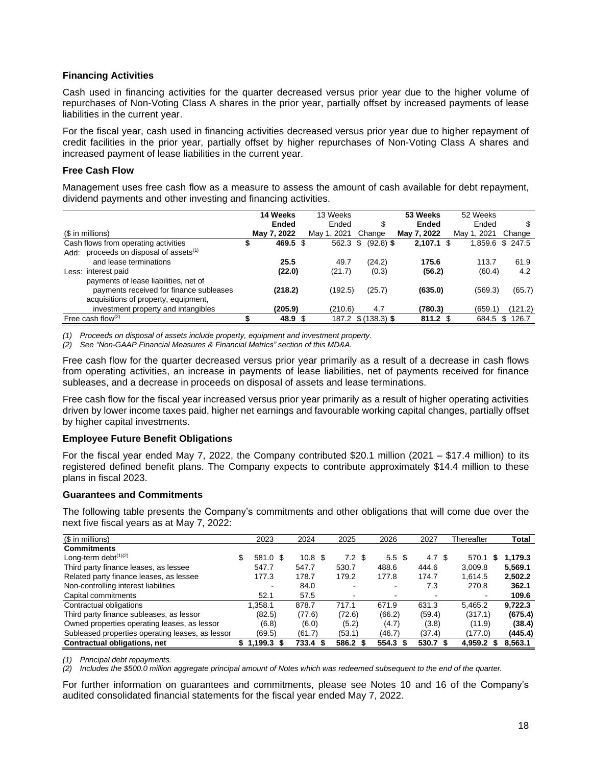#### **Financing Activities**

Cash used in financing activities for the quarter decreased versus prior year due to the higher volume of repurchases of Non-Voting Class A shares in the prior year, partially offset by increased payments of lease liabilities in the current year.

For the fiscal year, cash used in financing activities decreased versus prior year due to higher repayment of credit facilities in the prior year, partially offset by higher repurchases of Non-Voting Class A shares and increased payment of lease liabilities in the current year.

#### **Free Cash Flow**

Management uses free cash flow as a measure to assess the amount of cash available for debt repayment, dividend payments and other investing and financing activities.

|                                         | 14 Weeks |              |      | 13 Weeks    |                   |  | 53 Weeks            |       | 52 Weeks    |                  |
|-----------------------------------------|----------|--------------|------|-------------|-------------------|--|---------------------|-------|-------------|------------------|
|                                         |          | <b>Ended</b> |      | Ended       | S                 |  | <b>Ended</b>        | Ended |             | S                |
| (\$ in millions)                        |          | May 7, 2022  |      | May 1, 2021 | Change            |  | May 7, 2022         |       | May 1, 2021 | Change           |
| Cash flows from operating activities    |          | 469.5        | - \$ | 562.3       | $(92.8)$ \$<br>S. |  | $2,107.1$ \$        |       |             | 1,859.6 \$ 247.5 |
| Add: proceeds on disposal of assets(1)  |          |              |      |             |                   |  |                     |       |             |                  |
| and lease terminations                  |          | 25.5         |      | 49.7        | (24.2)            |  | 175.6               |       | 113.7       | 61.9             |
| Less: interest paid                     |          | (22.0)       |      | (21.7)      | (0.3)             |  | (56.2)              |       | (60.4)      | 4.2              |
| payments of lease liabilities, net of   |          |              |      |             |                   |  |                     |       |             |                  |
| payments received for finance subleases |          | (218.2)      |      | (192.5)     | (25.7)            |  | (635.0)             |       | (569.3)     | (65.7)           |
| acquisitions of property, equipment,    |          |              |      |             |                   |  |                     |       |             |                  |
| investment property and intangibles     |          | (205.9)      |      | (210.6)     | 4.7               |  | (780.3)             |       | (659.1)     | (121.2)          |
| Free cash flow $(2)$                    |          | 48.9 \$      |      | 187.2       | $$(138.3)$ \$     |  | $811.2 \text{ }$ \$ |       |             | 684.5 \$ 126.7   |

*(1) Proceeds on disposal of assets include property, equipment and investment property.*

*(2) See "Non-GAAP Financial Measures & Financial Metrics" section of this MD&A.*

Free cash flow for the quarter decreased versus prior year primarily as a result of a decrease in cash flows from operating activities, an increase in payments of lease liabilities, net of payments received for finance subleases, and a decrease in proceeds on disposal of assets and lease terminations.

Free cash flow for the fiscal year increased versus prior year primarily as a result of higher operating activities driven by lower income taxes paid, higher net earnings and favourable working capital changes, partially offset by higher capital investments.

#### **Employee Future Benefit Obligations**

For the fiscal year ended May 7, 2022, the Company contributed \$20.1 million (2021 – \$17.4 million) to its registered defined benefit plans. The Company expects to contribute approximately \$14.4 million to these plans in fiscal 2023.

#### **Guarantees and Commitments**

The following table presents the Company's commitments and other obligations that will come due over the next five fiscal years as at May 7, 2022:

| (\$ in millions)                                 |    | 2023         | 2024     |                   | 2025           |                  | 2026             | 2027     | Thereafter   |   | Total   |
|--------------------------------------------------|----|--------------|----------|-------------------|----------------|------------------|------------------|----------|--------------|---|---------|
| <b>Commitments</b>                               |    |              |          |                   |                |                  |                  |          |              |   |         |
| Long-term debt $(1)(2)$                          | \$ | 581.0 \$     |          | 10.8 <sup>5</sup> |                | 7.2 <sup>5</sup> | 5.5 <sup>3</sup> | 4.7 $$$  | 570.1        | S | 1,179.3 |
| Third party finance leases, as lessee            |    | 547.7        | 547.7    |                   | 530.7          |                  | 488.6            | 444.6    | 3,009.8      |   | 5,569.1 |
| Related party finance leases, as lessee          |    | 177.3        | 178.7    |                   | 179.2          |                  | 177.8            | 174.7    | 1.614.5      |   | 2,502.2 |
| Non-controlling interest liabilities             |    |              | 84.0     |                   |                |                  | $\blacksquare$   | 7.3      | 270.8        |   | 362.1   |
| Capital commitments                              |    | 52.1         | 57.5     |                   | $\blacksquare$ |                  |                  |          |              |   | 109.6   |
| Contractual obligations                          |    | 1.358.1      | 878.7    |                   | 717.1          |                  | 671.9            | 631.3    | 5.465.2      |   | 9,722.3 |
| Third party finance subleases, as lessor         |    | (82.5)       | (77.6)   |                   | (72.6)         |                  | (66.2)           | (59.4)   | (317.1)      |   | (675.4) |
| Owned properties operating leases, as lessor     |    | (6.8)        | (6.0)    |                   | (5.2)          |                  | (4.7)            | (3.8)    | (11.9)       |   | (38.4)  |
| Subleased properties operating leases, as lessor |    | (69.5)       | (61.7)   |                   | (53.1)         |                  | (46.7)           | (37.4)   | (177.0)      |   | (445.4) |
| Contractual obligations, net                     | S. | $1.199.3$ \$ | 733.4 \$ |                   | 586.2 \$       |                  | 554.3            | 530.7 \$ | $4.959.2$ \$ |   | 8,563.1 |

*(1) Principal debt repayments.*

(2) Includes the \$500.0 million aggregate principal amount of Notes which was redeemed subsequent to the end of the quarter.

For further information on guarantees and commitments, please see Notes 10 and 16 of the Company's audited consolidated financial statements for the fiscal year ended May 7, 2022.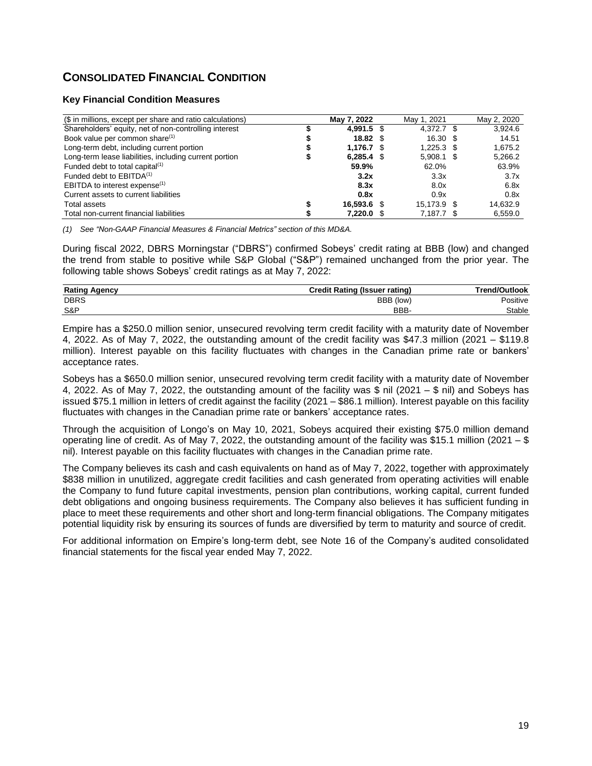## **CONSOLIDATED FINANCIAL CONDITION**

#### **Key Financial Condition Measures**

| (\$ in millions, except per share and ratio calculations) | May 7, 2022     | May 1, 2021 |      | May 2, 2020 |
|-----------------------------------------------------------|-----------------|-------------|------|-------------|
| Shareholders' equity, net of non-controlling interest     | 4.991.5 \$      | 4.372.7 \$  |      | 3.924.6     |
| Book value per common share <sup>(1)</sup>                | $18.82 \quad $$ | 16.30       | - SS | 14.51       |
| Long-term debt, including current portion                 | 1.176.7         | 1.225.3     |      | 1.675.2     |
| Long-term lease liabilities, including current portion    | $6.285.4$ \$    | 5.908.1     | - \$ | 5,266.2     |
| Funded debt to total capital <sup>(1)</sup>               | 59.9%           | 62.0%       |      | 63.9%       |
| Funded debt to $EBITDA(1)$                                | 3.2x            | 3.3x        |      | 3.7x        |
| EBITDA to interest expense <sup>(1)</sup>                 | 8.3x            | 8.0x        |      | 6.8x        |
| Current assets to current liabilities                     | 0.8x            | 0.9x        |      | 0.8x        |
| <b>Total assets</b>                                       | 16.593.6        | 15.173.9    | - S  | 14.632.9    |
| Total non-current financial liabilities                   | 7.220.0         | 7.187.7     |      | 6.559.0     |

*(1) See "Non-GAAP Financial Measures & Financial Metrics" section of this MD&A.*

During fiscal 2022, DBRS Morningstar ("DBRS") confirmed Sobeys' credit rating at BBB (low) and changed the trend from stable to positive while S&P Global ("S&P") remained unchanged from the prior year. The following table shows Sobeys' credit ratings as at May 7, 2022:

| BBB (low) | Positive |
|-----------|----------|
| BBB-      | Stable   |
|           |          |

Empire has a \$250.0 million senior, unsecured revolving term credit facility with a maturity date of November 4, 2022. As of May 7, 2022, the outstanding amount of the credit facility was \$47.3 million (2021 – \$119.8 million). Interest payable on this facility fluctuates with changes in the Canadian prime rate or bankers' acceptance rates.

Sobeys has a \$650.0 million senior, unsecured revolving term credit facility with a maturity date of November 4, 2022. As of May 7, 2022, the outstanding amount of the facility was \$ nil (2021 – \$ nil) and Sobeys has issued \$75.1 million in letters of credit against the facility (2021 – \$86.1 million). Interest payable on this facility fluctuates with changes in the Canadian prime rate or bankers' acceptance rates.

Through the acquisition of Longo's on May 10, 2021, Sobeys acquired their existing \$75.0 million demand operating line of credit. As of May 7, 2022, the outstanding amount of the facility was \$15.1 million (2021 – \$ nil). Interest payable on this facility fluctuates with changes in the Canadian prime rate.

The Company believes its cash and cash equivalents on hand as of May 7, 2022, together with approximately \$838 million in unutilized, aggregate credit facilities and cash generated from operating activities will enable the Company to fund future capital investments, pension plan contributions, working capital, current funded debt obligations and ongoing business requirements. The Company also believes it has sufficient funding in place to meet these requirements and other short and long-term financial obligations. The Company mitigates potential liquidity risk by ensuring its sources of funds are diversified by term to maturity and source of credit.

For additional information on Empire's long-term debt, see Note 16 of the Company's audited consolidated financial statements for the fiscal year ended May 7, 2022.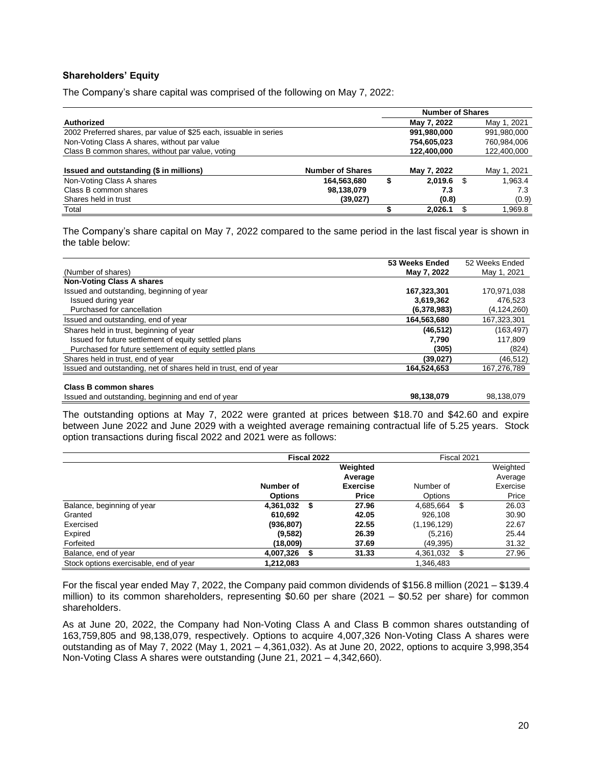#### **Shareholders' Equity**

The Company's share capital was comprised of the following on May 7, 2022:

|                                                                   |                         | <b>Number of Shares</b> |   |             |
|-------------------------------------------------------------------|-------------------------|-------------------------|---|-------------|
| Authorized                                                        |                         | May 7, 2022             |   | May 1, 2021 |
| 2002 Preferred shares, par value of \$25 each, issuable in series |                         | 991,980,000             |   | 991,980,000 |
| Non-Voting Class A shares, without par value                      |                         | 754,605,023             |   | 760,984,006 |
| Class B common shares, without par value, voting                  |                         | 122,400,000             |   | 122,400,000 |
| Issued and outstanding (\$ in millions)                           | <b>Number of Shares</b> | May 7, 2022             |   | May 1, 2021 |
| Non-Voting Class A shares                                         | 164,563,680             | 2.019.6                 | S | 1.963.4     |
| Class B common shares                                             | 98,138,079              | 7.3                     |   | 7.3         |
| Shares held in trust                                              | (39, 027)               | (0.8)                   |   | (0.9)       |
| Total                                                             |                         | 2,026.1                 |   | 1,969.8     |

The Company's share capital on May 7, 2022 compared to the same period in the last fiscal year is shown in the table below:

|                                                                  | 53 Weeks Ended | 52 Weeks Ended |
|------------------------------------------------------------------|----------------|----------------|
| (Number of shares)                                               | May 7, 2022    | May 1, 2021    |
| <b>Non-Voting Class A shares</b>                                 |                |                |
| Issued and outstanding, beginning of year                        | 167,323,301    | 170,971,038    |
| Issued during year                                               | 3,619,362      | 476,523        |
| Purchased for cancellation                                       | (6,378,983)    | (4, 124, 260)  |
| Issued and outstanding, end of year                              | 164,563,680    | 167,323,301    |
| Shares held in trust, beginning of year                          | (46, 512)      | (163, 497)     |
| Issued for future settlement of equity settled plans             | 7.790          | 117,809        |
| Purchased for future settlement of equity settled plans          | (305)          | (824)          |
| Shares held in trust, end of year                                | (39, 027)      | (46, 512)      |
| Issued and outstanding, net of shares held in trust, end of year | 164,524,653    | 167,276,789    |
|                                                                  |                |                |
| Class B common shares                                            |                |                |
| Issued and outstanding, beginning and end of year                | 98,138,079     | 98.138.079     |

The outstanding options at May 7, 2022 were granted at prices between \$18.70 and \$42.60 and expire between June 2022 and June 2029 with a weighted average remaining contractual life of 5.25 years. Stock option transactions during fiscal 2022 and 2021 were as follows:

|                                        |                | Fiscal 2022 | Fiscal 2021     |                |     |          |  |
|----------------------------------------|----------------|-------------|-----------------|----------------|-----|----------|--|
|                                        |                |             | Weighted        |                |     | Weighted |  |
|                                        |                |             | Average         |                |     | Average  |  |
|                                        | Number of      |             | <b>Exercise</b> | Number of      |     | Exercise |  |
|                                        | <b>Options</b> |             | Price           | <b>Options</b> |     | Price    |  |
| Balance, beginning of year             | 4,361,032      | - \$        | 27.96           | 4,685,664      | \$  | 26.03    |  |
| Granted                                | 610,692        |             | 42.05           | 926,108        |     | 30.90    |  |
| Exercised                              | (936, 807)     |             | 22.55           | (1, 196, 129)  |     | 22.67    |  |
| Expired                                | (9,582)        |             | 26.39           | (5,216)        |     | 25.44    |  |
| Forfeited                              | (18,009)       |             | 37.69           | (49, 395)      |     | 31.32    |  |
| Balance, end of year                   | 4,007,326      |             | 31.33           | 4,361,032      | \$. | 27.96    |  |
| Stock options exercisable, end of year | 1,212,083      |             |                 | 1,346,483      |     |          |  |

For the fiscal year ended May 7, 2022, the Company paid common dividends of \$156.8 million (2021 – \$139.4 million) to its common shareholders, representing \$0.60 per share (2021 – \$0.52 per share) for common shareholders.

As at June 20, 2022, the Company had Non-Voting Class A and Class B common shares outstanding of 163,759,805 and 98,138,079, respectively. Options to acquire 4,007,326 Non-Voting Class A shares were outstanding as of May 7, 2022 (May 1, 2021 – 4,361,032). As at June 20, 2022, options to acquire 3,998,354 Non-Voting Class A shares were outstanding (June 21, 2021 – 4,342,660).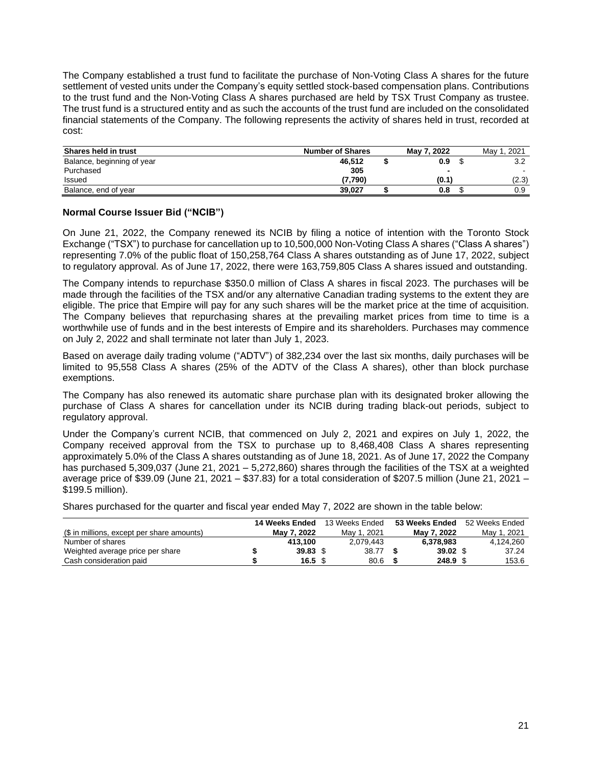The Company established a trust fund to facilitate the purchase of Non-Voting Class A shares for the future settlement of vested units under the Company's equity settled stock-based compensation plans. Contributions to the trust fund and the Non-Voting Class A shares purchased are held by TSX Trust Company as trustee. The trust fund is a structured entity and as such the accounts of the trust fund are included on the consolidated financial statements of the Company. The following represents the activity of shares held in trust, recorded at cost:

| Shares held in trust       | <b>Number of Shares</b> | May 7, 2022 | Mav<br>. 2021 |
|----------------------------|-------------------------|-------------|---------------|
| Balance, beginning of year | 46.512                  | 0.9         | 3.2           |
| Purchased                  | 305                     |             |               |
| Issued                     | (7.790)                 | (0.1)       | (2.3)         |
| Balance, end of year       | 39.027                  | 0.8         | 0.9           |

#### **Normal Course Issuer Bid ("NCIB")**

On June 21, 2022, the Company renewed its NCIB by filing a notice of intention with the Toronto Stock Exchange ("TSX") to purchase for cancellation up to 10,500,000 Non-Voting Class A shares ("Class A shares") representing 7.0% of the public float of 150,258,764 Class A shares outstanding as of June 17, 2022, subject to regulatory approval. As of June 17, 2022, there were 163,759,805 Class A shares issued and outstanding.

The Company intends to repurchase \$350.0 million of Class A shares in fiscal 2023. The purchases will be made through the facilities of the TSX and/or any alternative Canadian trading systems to the extent they are eligible. The price that Empire will pay for any such shares will be the market price at the time of acquisition. The Company believes that repurchasing shares at the prevailing market prices from time to time is a worthwhile use of funds and in the best interests of Empire and its shareholders. Purchases may commence on July 2, 2022 and shall terminate not later than July 1, 2023.

Based on average daily trading volume ("ADTV") of 382,234 over the last six months, daily purchases will be limited to 95,558 Class A shares (25% of the ADTV of the Class A shares), other than block purchase exemptions.

The Company has also renewed its automatic share purchase plan with its designated broker allowing the purchase of Class A shares for cancellation under its NCIB during trading black-out periods, subject to regulatory approval.

Under the Company's current NCIB, that commenced on July 2, 2021 and expires on July 1, 2022, the Company received approval from the TSX to purchase up to 8,468,408 Class A shares representing approximately 5.0% of the Class A shares outstanding as of June 18, 2021. As of June 17, 2022 the Company has purchased 5,309,037 (June 21, 2021 – 5,272,860) shares through the facilities of the TSX at a weighted average price of \$39.09 (June 21, 2021 – \$37.83) for a total consideration of \$207.5 million (June 21, 2021 – \$199.5 million).

Shares purchased for the quarter and fiscal year ended May 7, 2022 are shown in the table below:

|                                            | 14 Weeks Ended     | 13 Weeks Ended | 53 Weeks Ended | 52 Weeks Ended |
|--------------------------------------------|--------------------|----------------|----------------|----------------|
| (\$ in millions, except per share amounts) | May 7, 2022        | May 1, 2021    | Mav 7. 2022    | May 1, 2021    |
| Number of shares                           | 413.100            | 2.079.443      | 6.378.983      | 4.124.260      |
| Weighted average price per share           | $39.83~\text{\AA}$ | 38.77          | $39.02$ \$     | 37.24          |
| Cash consideration paid                    | 16.5 $$$           | 80.6           | 248.9          | 153.6          |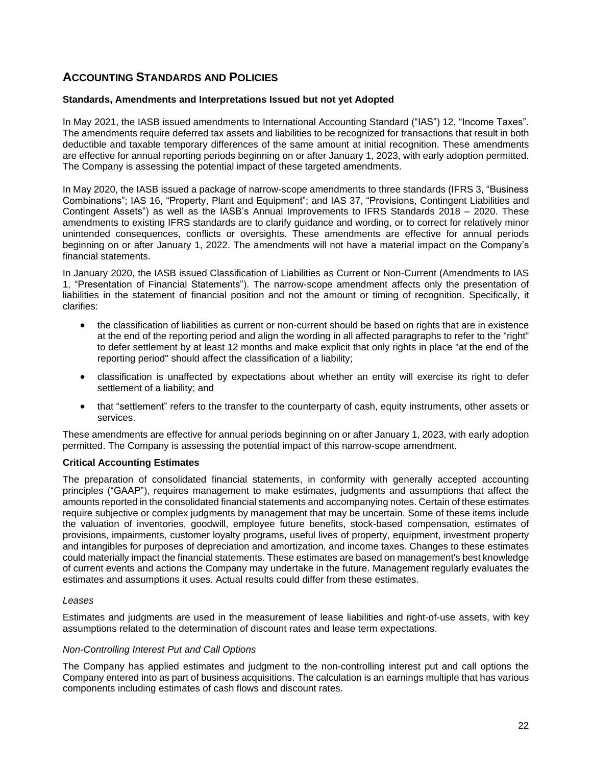## **ACCOUNTING STANDARDS AND POLICIES**

#### **Standards, Amendments and Interpretations Issued but not yet Adopted**

In May 2021, the IASB issued amendments to International Accounting Standard ("IAS") 12, "Income Taxes". The amendments require deferred tax assets and liabilities to be recognized for transactions that result in both deductible and taxable temporary differences of the same amount at initial recognition. These amendments are effective for annual reporting periods beginning on or after January 1, 2023, with early adoption permitted. The Company is assessing the potential impact of these targeted amendments.

In May 2020, the IASB issued a package of narrow-scope amendments to three standards (IFRS 3, "Business Combinations"; IAS 16, "Property, Plant and Equipment"; and IAS 37, "Provisions, Contingent Liabilities and Contingent Assets") as well as the IASB's Annual Improvements to IFRS Standards 2018 – 2020. These amendments to existing IFRS standards are to clarify guidance and wording, or to correct for relatively minor unintended consequences, conflicts or oversights. These amendments are effective for annual periods beginning on or after January 1, 2022. The amendments will not have a material impact on the Company's financial statements.

In January 2020, the IASB issued Classification of Liabilities as Current or Non-Current (Amendments to IAS 1, "Presentation of Financial Statements"). The narrow-scope amendment affects only the presentation of liabilities in the statement of financial position and not the amount or timing of recognition. Specifically, it clarifies:

- the classification of liabilities as current or non-current should be based on rights that are in existence at the end of the reporting period and align the wording in all affected paragraphs to refer to the "right" to defer settlement by at least 12 months and make explicit that only rights in place "at the end of the reporting period" should affect the classification of a liability;
- classification is unaffected by expectations about whether an entity will exercise its right to defer settlement of a liability; and
- that "settlement" refers to the transfer to the counterparty of cash, equity instruments, other assets or services.

These amendments are effective for annual periods beginning on or after January 1, 2023, with early adoption permitted. The Company is assessing the potential impact of this narrow-scope amendment.

#### **Critical Accounting Estimates**

The preparation of consolidated financial statements, in conformity with generally accepted accounting principles ("GAAP"), requires management to make estimates, judgments and assumptions that affect the amounts reported in the consolidated financial statements and accompanying notes. Certain of these estimates require subjective or complex judgments by management that may be uncertain. Some of these items include the valuation of inventories, goodwill, employee future benefits, stock-based compensation, estimates of provisions, impairments, customer loyalty programs, useful lives of property, equipment, investment property and intangibles for purposes of depreciation and amortization, and income taxes. Changes to these estimates could materially impact the financial statements. These estimates are based on management's best knowledge of current events and actions the Company may undertake in the future. Management regularly evaluates the estimates and assumptions it uses. Actual results could differ from these estimates.

#### *Leases*

Estimates and judgments are used in the measurement of lease liabilities and right-of-use assets, with key assumptions related to the determination of discount rates and lease term expectations.

#### *Non-Controlling Interest Put and Call Options*

The Company has applied estimates and judgment to the non-controlling interest put and call options the Company entered into as part of business acquisitions. The calculation is an earnings multiple that has various components including estimates of cash flows and discount rates.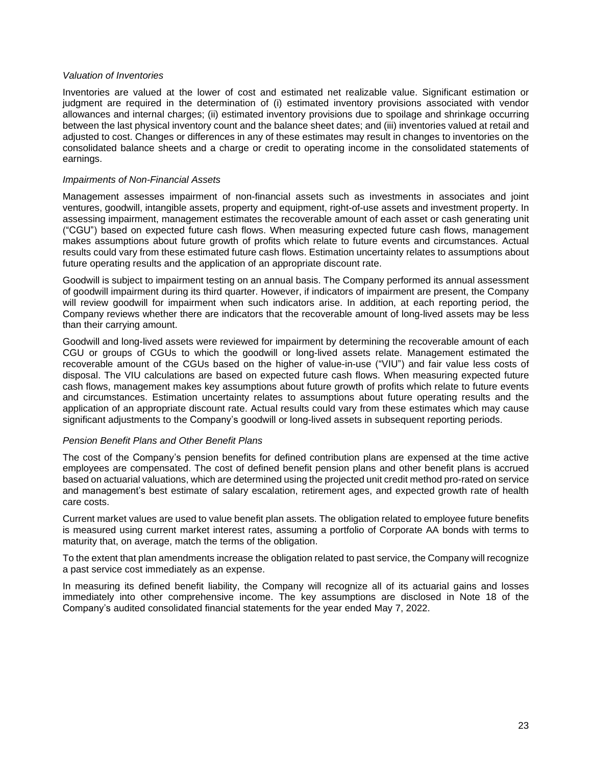#### *Valuation of Inventories*

Inventories are valued at the lower of cost and estimated net realizable value. Significant estimation or judgment are required in the determination of (i) estimated inventory provisions associated with vendor allowances and internal charges; (ii) estimated inventory provisions due to spoilage and shrinkage occurring between the last physical inventory count and the balance sheet dates; and (iii) inventories valued at retail and adjusted to cost. Changes or differences in any of these estimates may result in changes to inventories on the consolidated balance sheets and a charge or credit to operating income in the consolidated statements of earnings.

#### *Impairments of Non-Financial Assets*

Management assesses impairment of non-financial assets such as investments in associates and joint ventures, goodwill, intangible assets, property and equipment, right-of-use assets and investment property. In assessing impairment, management estimates the recoverable amount of each asset or cash generating unit ("CGU") based on expected future cash flows. When measuring expected future cash flows, management makes assumptions about future growth of profits which relate to future events and circumstances. Actual results could vary from these estimated future cash flows. Estimation uncertainty relates to assumptions about future operating results and the application of an appropriate discount rate.

Goodwill is subject to impairment testing on an annual basis. The Company performed its annual assessment of goodwill impairment during its third quarter. However, if indicators of impairment are present, the Company will review goodwill for impairment when such indicators arise. In addition, at each reporting period, the Company reviews whether there are indicators that the recoverable amount of long-lived assets may be less than their carrying amount.

Goodwill and long-lived assets were reviewed for impairment by determining the recoverable amount of each CGU or groups of CGUs to which the goodwill or long-lived assets relate. Management estimated the recoverable amount of the CGUs based on the higher of value-in-use ("VIU") and fair value less costs of disposal. The VIU calculations are based on expected future cash flows. When measuring expected future cash flows, management makes key assumptions about future growth of profits which relate to future events and circumstances. Estimation uncertainty relates to assumptions about future operating results and the application of an appropriate discount rate. Actual results could vary from these estimates which may cause significant adjustments to the Company's goodwill or long-lived assets in subsequent reporting periods.

#### *Pension Benefit Plans and Other Benefit Plans*

The cost of the Company's pension benefits for defined contribution plans are expensed at the time active employees are compensated. The cost of defined benefit pension plans and other benefit plans is accrued based on actuarial valuations, which are determined using the projected unit credit method pro-rated on service and management's best estimate of salary escalation, retirement ages, and expected growth rate of health care costs.

Current market values are used to value benefit plan assets. The obligation related to employee future benefits is measured using current market interest rates, assuming a portfolio of Corporate AA bonds with terms to maturity that, on average, match the terms of the obligation.

To the extent that plan amendments increase the obligation related to past service, the Company will recognize a past service cost immediately as an expense.

In measuring its defined benefit liability, the Company will recognize all of its actuarial gains and losses immediately into other comprehensive income. The key assumptions are disclosed in Note 18 of the Company's audited consolidated financial statements for the year ended May 7, 2022.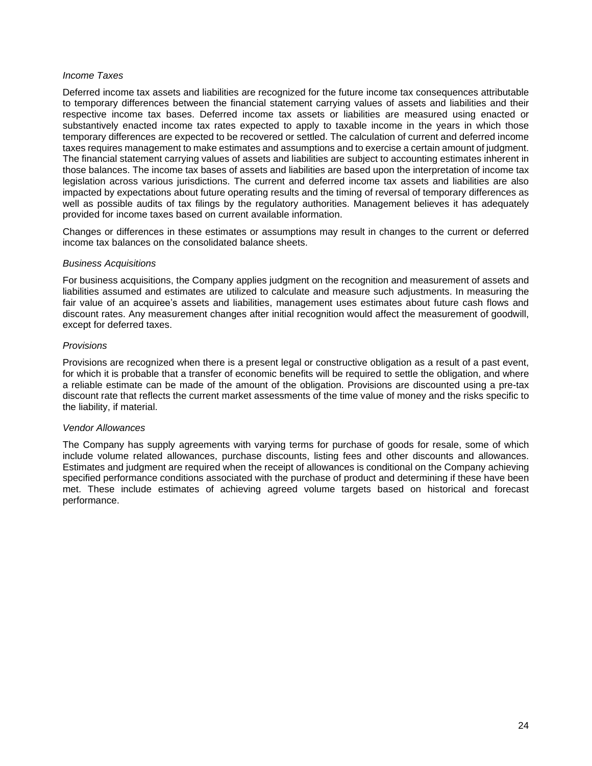#### *Income Taxes*

Deferred income tax assets and liabilities are recognized for the future income tax consequences attributable to temporary differences between the financial statement carrying values of assets and liabilities and their respective income tax bases. Deferred income tax assets or liabilities are measured using enacted or substantively enacted income tax rates expected to apply to taxable income in the years in which those temporary differences are expected to be recovered or settled. The calculation of current and deferred income taxes requires management to make estimates and assumptions and to exercise a certain amount of judgment. The financial statement carrying values of assets and liabilities are subject to accounting estimates inherent in those balances. The income tax bases of assets and liabilities are based upon the interpretation of income tax legislation across various jurisdictions. The current and deferred income tax assets and liabilities are also impacted by expectations about future operating results and the timing of reversal of temporary differences as well as possible audits of tax filings by the regulatory authorities. Management believes it has adequately provided for income taxes based on current available information.

Changes or differences in these estimates or assumptions may result in changes to the current or deferred income tax balances on the consolidated balance sheets.

#### *Business Acquisitions*

For business acquisitions, the Company applies judgment on the recognition and measurement of assets and liabilities assumed and estimates are utilized to calculate and measure such adjustments. In measuring the fair value of an acquiree's assets and liabilities, management uses estimates about future cash flows and discount rates. Any measurement changes after initial recognition would affect the measurement of goodwill, except for deferred taxes.

#### *Provisions*

Provisions are recognized when there is a present legal or constructive obligation as a result of a past event, for which it is probable that a transfer of economic benefits will be required to settle the obligation, and where a reliable estimate can be made of the amount of the obligation. Provisions are discounted using a pre-tax discount rate that reflects the current market assessments of the time value of money and the risks specific to the liability, if material.

#### *Vendor Allowances*

The Company has supply agreements with varying terms for purchase of goods for resale, some of which include volume related allowances, purchase discounts, listing fees and other discounts and allowances. Estimates and judgment are required when the receipt of allowances is conditional on the Company achieving specified performance conditions associated with the purchase of product and determining if these have been met. These include estimates of achieving agreed volume targets based on historical and forecast performance.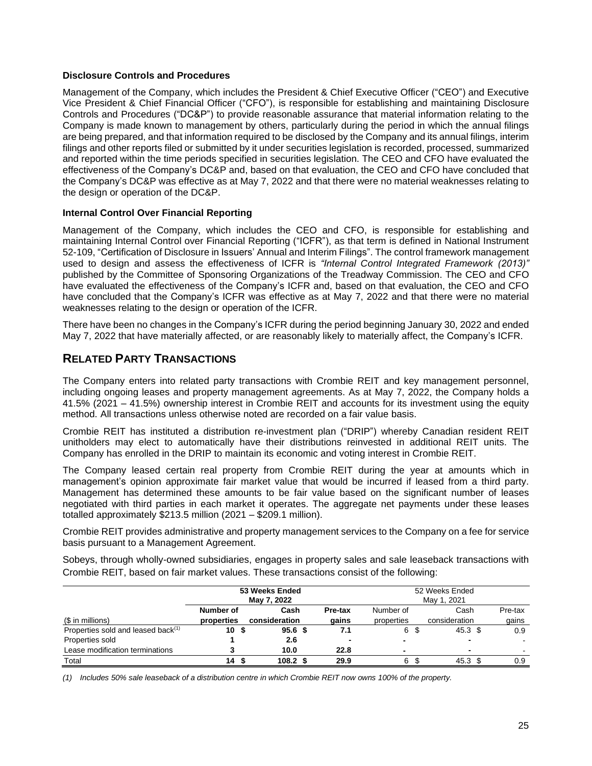#### **Disclosure Controls and Procedures**

Management of the Company, which includes the President & Chief Executive Officer ("CEO") and Executive Vice President & Chief Financial Officer ("CFO"), is responsible for establishing and maintaining Disclosure Controls and Procedures ("DC&P") to provide reasonable assurance that material information relating to the Company is made known to management by others, particularly during the period in which the annual filings are being prepared, and that information required to be disclosed by the Company and its annual filings, interim filings and other reports filed or submitted by it under securities legislation is recorded, processed, summarized and reported within the time periods specified in securities legislation. The CEO and CFO have evaluated the effectiveness of the Company's DC&P and, based on that evaluation, the CEO and CFO have concluded that the Company's DC&P was effective as at May 7, 2022 and that there were no material weaknesses relating to the design or operation of the DC&P.

#### **Internal Control Over Financial Reporting**

Management of the Company, which includes the CEO and CFO, is responsible for establishing and maintaining Internal Control over Financial Reporting ("ICFR"), as that term is defined in National Instrument 52-109, "Certification of Disclosure in Issuers' Annual and Interim Filings". The control framework management used to design and assess the effectiveness of ICFR is *"Internal Control Integrated Framework (2013)"* published by the Committee of Sponsoring Organizations of the Treadway Commission. The CEO and CFO have evaluated the effectiveness of the Company's ICFR and, based on that evaluation, the CEO and CFO have concluded that the Company's ICFR was effective as at May 7, 2022 and that there were no material weaknesses relating to the design or operation of the ICFR.

There have been no changes in the Company's ICFR during the period beginning January 30, 2022 and ended May 7, 2022 that have materially affected, or are reasonably likely to materially affect, the Company's ICFR.

## **RELATED PARTY TRANSACTIONS**

The Company enters into related party transactions with Crombie REIT and key management personnel, including ongoing leases and property management agreements. As at May 7, 2022, the Company holds a 41.5% (2021 – 41.5%) ownership interest in Crombie REIT and accounts for its investment using the equity method. All transactions unless otherwise noted are recorded on a fair value basis.

Crombie REIT has instituted a distribution re-investment plan ("DRIP") whereby Canadian resident REIT unitholders may elect to automatically have their distributions reinvested in additional REIT units. The Company has enrolled in the DRIP to maintain its economic and voting interest in Crombie REIT.

The Company leased certain real property from Crombie REIT during the year at amounts which in management's opinion approximate fair market value that would be incurred if leased from a third party. Management has determined these amounts to be fair value based on the significant number of leases negotiated with third parties in each market it operates. The aggregate net payments under these leases totalled approximately \$213.5 million (2021 – \$209.1 million).

Crombie REIT provides administrative and property management services to the Company on a fee for service basis pursuant to a Management Agreement.

Sobeys, through wholly-owned subsidiaries, engages in property sales and sale leaseback transactions with Crombie REIT, based on fair market values. These transactions consist of the following:

|                                                | 53 Weeks Ended  |             |                    |             |         |            | 52 Weeks Ended |                   |         |  |  |  |  |
|------------------------------------------------|-----------------|-------------|--------------------|-------------|---------|------------|----------------|-------------------|---------|--|--|--|--|
|                                                |                 | May 7, 2022 |                    | May 1, 2021 |         |            |                |                   |         |  |  |  |  |
|                                                | Number of       |             | Cash               |             | Pre-tax | Number of  |                | Cash              | Pre-tax |  |  |  |  |
| (\$ in millions)                               | properties      |             | consideration      |             | gains   | properties |                | consideration     | gains   |  |  |  |  |
| Properties sold and leased back <sup>(1)</sup> | 10 <sup>5</sup> |             | 95.6 <sup>5</sup>  |             | 7.1     | 6 \$       |                | 45.3 <sup>5</sup> | 0.9     |  |  |  |  |
| Properties sold                                |                 |             | 2.6                |             |         |            |                |                   |         |  |  |  |  |
| Lease modification terminations                |                 |             | 10.0               |             | 22.8    |            |                | $\blacksquare$    |         |  |  |  |  |
| Total                                          | 14S             |             | 108.2 <sup>5</sup> |             | 29.9    | 6 \$       |                | 45.3 <sup>5</sup> | 0.9     |  |  |  |  |

(1) Includes 50% sale leaseback of a distribution centre in which Crombie REIT now owns 100% of the property.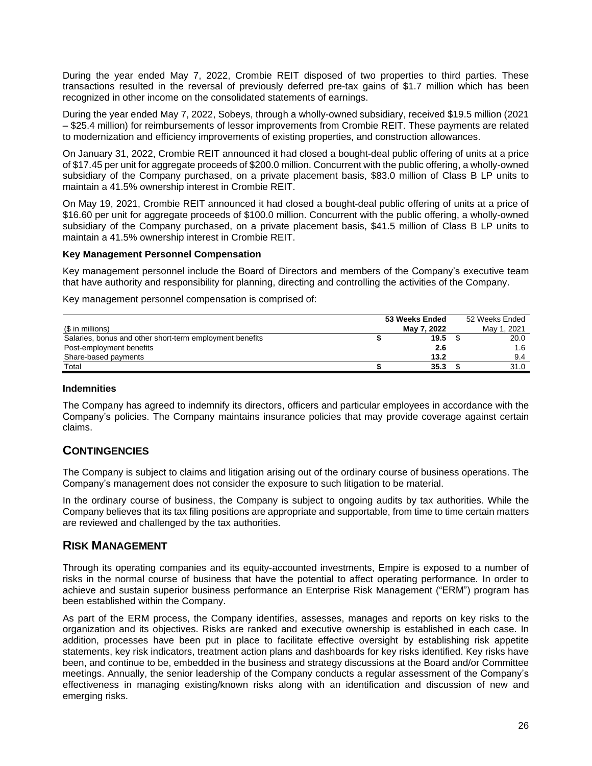During the year ended May 7, 2022, Crombie REIT disposed of two properties to third parties. These transactions resulted in the reversal of previously deferred pre-tax gains of \$1.7 million which has been recognized in other income on the consolidated statements of earnings.

During the year ended May 7, 2022, Sobeys, through a wholly-owned subsidiary, received \$19.5 million (2021 – \$25.4 million) for reimbursements of lessor improvements from Crombie REIT. These payments are related to modernization and efficiency improvements of existing properties, and construction allowances.

On January 31, 2022, Crombie REIT announced it had closed a bought-deal public offering of units at a price of \$17.45 per unit for aggregate proceeds of \$200.0 million. Concurrent with the public offering, a wholly-owned subsidiary of the Company purchased, on a private placement basis, \$83.0 million of Class B LP units to maintain a 41.5% ownership interest in Crombie REIT.

On May 19, 2021, Crombie REIT announced it had closed a bought-deal public offering of units at a price of \$16.60 per unit for aggregate proceeds of \$100.0 million. Concurrent with the public offering, a wholly-owned subsidiary of the Company purchased, on a private placement basis, \$41.5 million of Class B LP units to maintain a 41.5% ownership interest in Crombie REIT.

#### **Key Management Personnel Compensation**

Key management personnel include the Board of Directors and members of the Company's executive team that have authority and responsibility for planning, directing and controlling the activities of the Company.

Key management personnel compensation is comprised of:

|                                                          | 53 Weeks Ended | 52 Weeks Ended |
|----------------------------------------------------------|----------------|----------------|
| (\$ in millions)                                         | May 7, 2022    | May 1, 2021    |
| Salaries, bonus and other short-term employment benefits | 19.5           | 20.0           |
| Post-employment benefits                                 | 2.6            | 1.6            |
| Share-based payments                                     | 13.2           | 9.4            |
| Total                                                    | 35.3           | 31.0           |

#### **Indemnities**

The Company has agreed to indemnify its directors, officers and particular employees in accordance with the Company's policies. The Company maintains insurance policies that may provide coverage against certain claims.

## **CONTINGENCIES**

The Company is subject to claims and litigation arising out of the ordinary course of business operations. The Company's management does not consider the exposure to such litigation to be material.

In the ordinary course of business, the Company is subject to ongoing audits by tax authorities. While the Company believes that its tax filing positions are appropriate and supportable, from time to time certain matters are reviewed and challenged by the tax authorities.

## **RISK MANAGEMENT**

Through its operating companies and its equity-accounted investments, Empire is exposed to a number of risks in the normal course of business that have the potential to affect operating performance. In order to achieve and sustain superior business performance an Enterprise Risk Management ("ERM") program has been established within the Company.

As part of the ERM process, the Company identifies, assesses, manages and reports on key risks to the organization and its objectives. Risks are ranked and executive ownership is established in each case. In addition, processes have been put in place to facilitate effective oversight by establishing risk appetite statements, key risk indicators, treatment action plans and dashboards for key risks identified. Key risks have been, and continue to be, embedded in the business and strategy discussions at the Board and/or Committee meetings. Annually, the senior leadership of the Company conducts a regular assessment of the Company's effectiveness in managing existing/known risks along with an identification and discussion of new and emerging risks.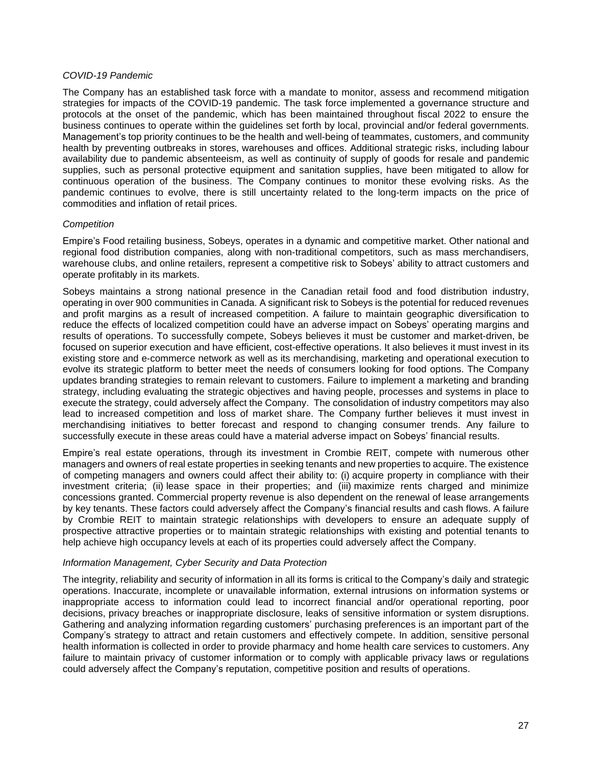#### *COVID-19 Pandemic*

The Company has an established task force with a mandate to monitor, assess and recommend mitigation strategies for impacts of the COVID-19 pandemic. The task force implemented a governance structure and protocols at the onset of the pandemic, which has been maintained throughout fiscal 2022 to ensure the business continues to operate within the guidelines set forth by local, provincial and/or federal governments. Management's top priority continues to be the health and well-being of teammates, customers, and community health by preventing outbreaks in stores, warehouses and offices. Additional strategic risks, including labour availability due to pandemic absenteeism, as well as continuity of supply of goods for resale and pandemic supplies, such as personal protective equipment and sanitation supplies, have been mitigated to allow for continuous operation of the business. The Company continues to monitor these evolving risks. As the pandemic continues to evolve, there is still uncertainty related to the long-term impacts on the price of commodities and inflation of retail prices.

#### *Competition*

Empire's Food retailing business, Sobeys, operates in a dynamic and competitive market. Other national and regional food distribution companies, along with non-traditional competitors, such as mass merchandisers, warehouse clubs, and online retailers, represent a competitive risk to Sobeys' ability to attract customers and operate profitably in its markets.

Sobeys maintains a strong national presence in the Canadian retail food and food distribution industry, operating in over 900 communities in Canada. A significant risk to Sobeys is the potential for reduced revenues and profit margins as a result of increased competition. A failure to maintain geographic diversification to reduce the effects of localized competition could have an adverse impact on Sobeys' operating margins and results of operations. To successfully compete, Sobeys believes it must be customer and market-driven, be focused on superior execution and have efficient, cost-effective operations. It also believes it must invest in its existing store and e-commerce network as well as its merchandising, marketing and operational execution to evolve its strategic platform to better meet the needs of consumers looking for food options. The Company updates branding strategies to remain relevant to customers. Failure to implement a marketing and branding strategy, including evaluating the strategic objectives and having people, processes and systems in place to execute the strategy, could adversely affect the Company. The consolidation of industry competitors may also lead to increased competition and loss of market share. The Company further believes it must invest in merchandising initiatives to better forecast and respond to changing consumer trends. Any failure to successfully execute in these areas could have a material adverse impact on Sobeys' financial results.

Empire's real estate operations, through its investment in Crombie REIT, compete with numerous other managers and owners of real estate properties in seeking tenants and new properties to acquire. The existence of competing managers and owners could affect their ability to: (i) acquire property in compliance with their investment criteria; (ii) lease space in their properties; and (iii) maximize rents charged and minimize concessions granted. Commercial property revenue is also dependent on the renewal of lease arrangements by key tenants. These factors could adversely affect the Company's financial results and cash flows. A failure by Crombie REIT to maintain strategic relationships with developers to ensure an adequate supply of prospective attractive properties or to maintain strategic relationships with existing and potential tenants to help achieve high occupancy levels at each of its properties could adversely affect the Company.

#### *Information Management, Cyber Security and Data Protection*

The integrity, reliability and security of information in all its forms is critical to the Company's daily and strategic operations. Inaccurate, incomplete or unavailable information, external intrusions on information systems or inappropriate access to information could lead to incorrect financial and/or operational reporting, poor decisions, privacy breaches or inappropriate disclosure, leaks of sensitive information or system disruptions. Gathering and analyzing information regarding customers' purchasing preferences is an important part of the Company's strategy to attract and retain customers and effectively compete. In addition, sensitive personal health information is collected in order to provide pharmacy and home health care services to customers. Any failure to maintain privacy of customer information or to comply with applicable privacy laws or regulations could adversely affect the Company's reputation, competitive position and results of operations.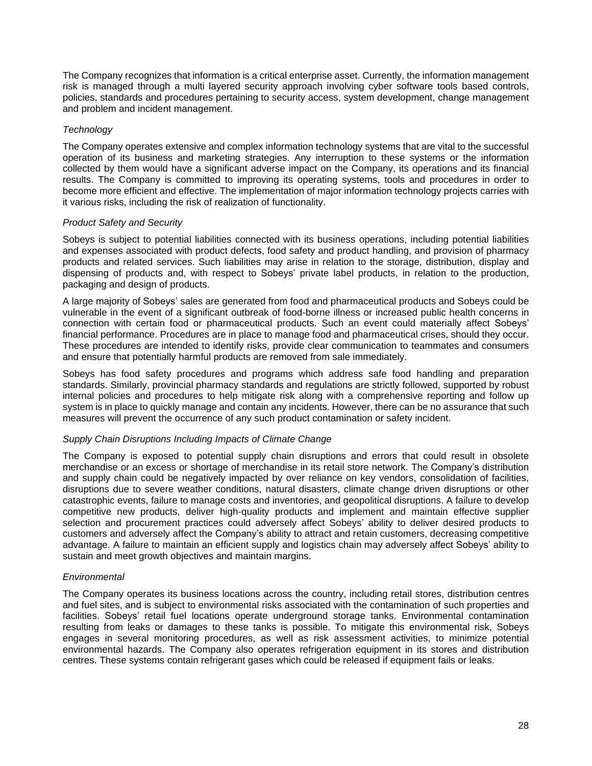The Company recognizes that information is a critical enterprise asset. Currently, the information management risk is managed through a multi layered security approach involving cyber software tools based controls, policies, standards and procedures pertaining to security access, system development, change management and problem and incident management.

#### *Technology*

The Company operates extensive and complex information technology systems that are vital to the successful operation of its business and marketing strategies. Any interruption to these systems or the information collected by them would have a significant adverse impact on the Company, its operations and its financial results. The Company is committed to improving its operating systems, tools and procedures in order to become more efficient and effective. The implementation of major information technology projects carries with it various risks, including the risk of realization of functionality.

#### *Product Safety and Security*

Sobeys is subject to potential liabilities connected with its business operations, including potential liabilities and expenses associated with product defects, food safety and product handling, and provision of pharmacy products and related services. Such liabilities may arise in relation to the storage, distribution, display and dispensing of products and, with respect to Sobeys' private label products, in relation to the production, packaging and design of products.

A large majority of Sobeys' sales are generated from food and pharmaceutical products and Sobeys could be vulnerable in the event of a significant outbreak of food-borne illness or increased public health concerns in connection with certain food or pharmaceutical products. Such an event could materially affect Sobeys' financial performance. Procedures are in place to manage food and pharmaceutical crises, should they occur. These procedures are intended to identify risks, provide clear communication to teammates and consumers and ensure that potentially harmful products are removed from sale immediately.

Sobeys has food safety procedures and programs which address safe food handling and preparation standards. Similarly, provincial pharmacy standards and regulations are strictly followed, supported by robust internal policies and procedures to help mitigate risk along with a comprehensive reporting and follow up system is in place to quickly manage and contain any incidents. However, there can be no assurance that such measures will prevent the occurrence of any such product contamination or safety incident.

#### *Supply Chain Disruptions Including Impacts of Climate Change*

The Company is exposed to potential supply chain disruptions and errors that could result in obsolete merchandise or an excess or shortage of merchandise in its retail store network. The Company's distribution and supply chain could be negatively impacted by over reliance on key vendors, consolidation of facilities, disruptions due to severe weather conditions, natural disasters, climate change driven disruptions or other catastrophic events, failure to manage costs and inventories, and geopolitical disruptions. A failure to develop competitive new products, deliver high-quality products and implement and maintain effective supplier selection and procurement practices could adversely affect Sobeys' ability to deliver desired products to customers and adversely affect the Company's ability to attract and retain customers, decreasing competitive advantage. A failure to maintain an efficient supply and logistics chain may adversely affect Sobeys' ability to sustain and meet growth objectives and maintain margins.

#### *Environmental*

The Company operates its business locations across the country, including retail stores, distribution centres and fuel sites, and is subject to environmental risks associated with the contamination of such properties and facilities. Sobeys' retail fuel locations operate underground storage tanks. Environmental contamination resulting from leaks or damages to these tanks is possible. To mitigate this environmental risk, Sobeys engages in several monitoring procedures, as well as risk assessment activities, to minimize potential environmental hazards. The Company also operates refrigeration equipment in its stores and distribution centres. These systems contain refrigerant gases which could be released if equipment fails or leaks.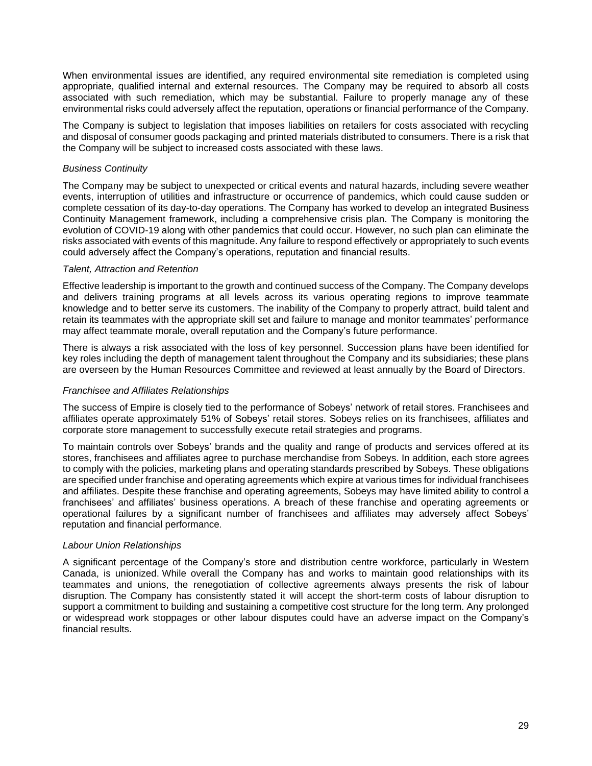When environmental issues are identified, any required environmental site remediation is completed using appropriate, qualified internal and external resources. The Company may be required to absorb all costs associated with such remediation, which may be substantial. Failure to properly manage any of these environmental risks could adversely affect the reputation, operations or financial performance of the Company.

The Company is subject to legislation that imposes liabilities on retailers for costs associated with recycling and disposal of consumer goods packaging and printed materials distributed to consumers. There is a risk that the Company will be subject to increased costs associated with these laws.

#### *Business Continuity*

The Company may be subject to unexpected or critical events and natural hazards, including severe weather events, interruption of utilities and infrastructure or occurrence of pandemics, which could cause sudden or complete cessation of its day-to-day operations. The Company has worked to develop an integrated Business Continuity Management framework, including a comprehensive crisis plan. The Company is monitoring the evolution of COVID-19 along with other pandemics that could occur. However, no such plan can eliminate the risks associated with events of this magnitude. Any failure to respond effectively or appropriately to such events could adversely affect the Company's operations, reputation and financial results.

#### *Talent, Attraction and Retention*

Effective leadership is important to the growth and continued success of the Company. The Company develops and delivers training programs at all levels across its various operating regions to improve teammate knowledge and to better serve its customers. The inability of the Company to properly attract, build talent and retain its teammates with the appropriate skill set and failure to manage and monitor teammates' performance may affect teammate morale, overall reputation and the Company's future performance.

There is always a risk associated with the loss of key personnel. Succession plans have been identified for key roles including the depth of management talent throughout the Company and its subsidiaries; these plans are overseen by the Human Resources Committee and reviewed at least annually by the Board of Directors.

#### *Franchisee and Affiliates Relationships*

The success of Empire is closely tied to the performance of Sobeys' network of retail stores. Franchisees and affiliates operate approximately 51% of Sobeys' retail stores. Sobeys relies on its franchisees, affiliates and corporate store management to successfully execute retail strategies and programs.

To maintain controls over Sobeys' brands and the quality and range of products and services offered at its stores, franchisees and affiliates agree to purchase merchandise from Sobeys. In addition, each store agrees to comply with the policies, marketing plans and operating standards prescribed by Sobeys. These obligations are specified under franchise and operating agreements which expire at various times for individual franchisees and affiliates. Despite these franchise and operating agreements, Sobeys may have limited ability to control a franchisees' and affiliates' business operations. A breach of these franchise and operating agreements or operational failures by a significant number of franchisees and affiliates may adversely affect Sobeys' reputation and financial performance.

#### *Labour Union Relationships*

A significant percentage of the Company's store and distribution centre workforce, particularly in Western Canada, is unionized. While overall the Company has and works to maintain good relationships with its teammates and unions, the renegotiation of collective agreements always presents the risk of labour disruption. The Company has consistently stated it will accept the short-term costs of labour disruption to support a commitment to building and sustaining a competitive cost structure for the long term. Any prolonged or widespread work stoppages or other labour disputes could have an adverse impact on the Company's financial results.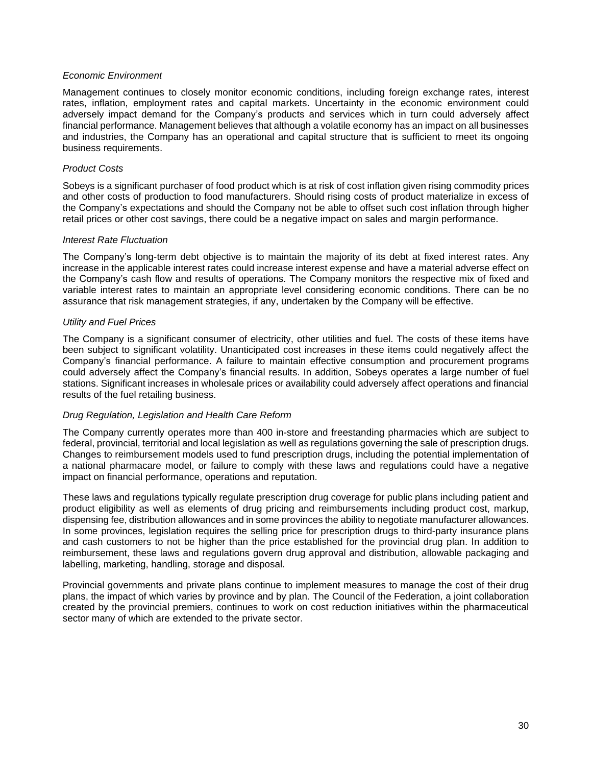#### *Economic Environment*

Management continues to closely monitor economic conditions, including foreign exchange rates, interest rates, inflation, employment rates and capital markets. Uncertainty in the economic environment could adversely impact demand for the Company's products and services which in turn could adversely affect financial performance. Management believes that although a volatile economy has an impact on all businesses and industries, the Company has an operational and capital structure that is sufficient to meet its ongoing business requirements.

#### *Product Costs*

Sobeys is a significant purchaser of food product which is at risk of cost inflation given rising commodity prices and other costs of production to food manufacturers. Should rising costs of product materialize in excess of the Company's expectations and should the Company not be able to offset such cost inflation through higher retail prices or other cost savings, there could be a negative impact on sales and margin performance.

#### *Interest Rate Fluctuation*

The Company's long-term debt objective is to maintain the majority of its debt at fixed interest rates. Any increase in the applicable interest rates could increase interest expense and have a material adverse effect on the Company's cash flow and results of operations. The Company monitors the respective mix of fixed and variable interest rates to maintain an appropriate level considering economic conditions. There can be no assurance that risk management strategies, if any, undertaken by the Company will be effective.

#### *Utility and Fuel Prices*

The Company is a significant consumer of electricity, other utilities and fuel. The costs of these items have been subject to significant volatility. Unanticipated cost increases in these items could negatively affect the Company's financial performance. A failure to maintain effective consumption and procurement programs could adversely affect the Company's financial results. In addition, Sobeys operates a large number of fuel stations. Significant increases in wholesale prices or availability could adversely affect operations and financial results of the fuel retailing business.

#### *Drug Regulation, Legislation and Health Care Reform*

The Company currently operates more than 400 in-store and freestanding pharmacies which are subject to federal, provincial, territorial and local legislation as well as regulations governing the sale of prescription drugs. Changes to reimbursement models used to fund prescription drugs, including the potential implementation of a national pharmacare model, or failure to comply with these laws and regulations could have a negative impact on financial performance, operations and reputation.

These laws and regulations typically regulate prescription drug coverage for public plans including patient and product eligibility as well as elements of drug pricing and reimbursements including product cost, markup, dispensing fee, distribution allowances and in some provinces the ability to negotiate manufacturer allowances. In some provinces, legislation requires the selling price for prescription drugs to third-party insurance plans and cash customers to not be higher than the price established for the provincial drug plan. In addition to reimbursement, these laws and regulations govern drug approval and distribution, allowable packaging and labelling, marketing, handling, storage and disposal.

Provincial governments and private plans continue to implement measures to manage the cost of their drug plans, the impact of which varies by province and by plan. The Council of the Federation, a joint collaboration created by the provincial premiers, continues to work on cost reduction initiatives within the pharmaceutical sector many of which are extended to the private sector.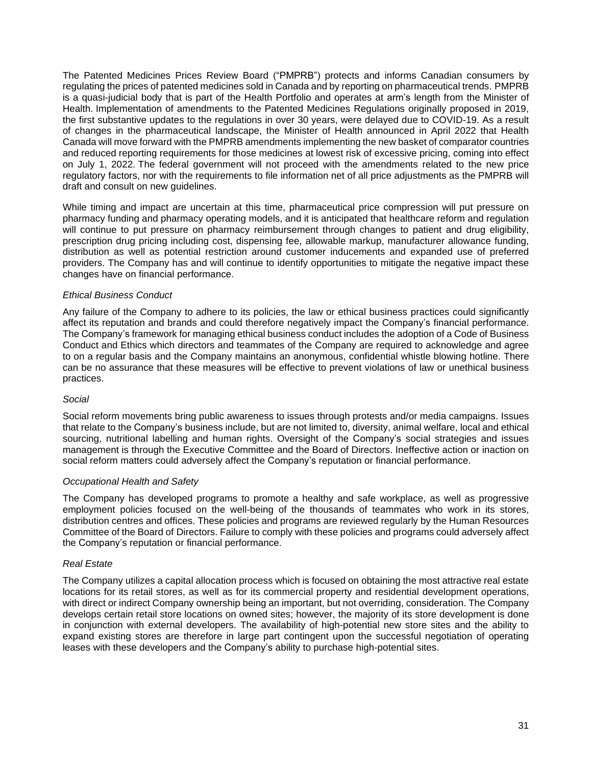The Patented Medicines Prices Review Board ("PMPRB") protects and informs Canadian consumers by regulating the prices of patented medicines sold in Canada and by reporting on pharmaceutical trends. PMPRB is a quasi-judicial body that is part of the Health Portfolio and operates at arm's length from the Minister of Health. Implementation of amendments to the Patented Medicines Regulations originally proposed in 2019, the first substantive updates to the regulations in over 30 years, were delayed due to COVID-19. As a result of changes in the pharmaceutical landscape, the Minister of Health announced in April 2022 that Health Canada will move forward with the PMPRB amendments implementing the new basket of comparator countries and reduced reporting requirements for those medicines at lowest risk of excessive pricing, coming into effect on July 1, 2022. The federal government will not proceed with the amendments related to the new price regulatory factors, nor with the requirements to file information net of all price adjustments as the PMPRB will draft and consult on new guidelines.

While timing and impact are uncertain at this time, pharmaceutical price compression will put pressure on pharmacy funding and pharmacy operating models, and it is anticipated that healthcare reform and regulation will continue to put pressure on pharmacy reimbursement through changes to patient and drug eligibility, prescription drug pricing including cost, dispensing fee, allowable markup, manufacturer allowance funding, distribution as well as potential restriction around customer inducements and expanded use of preferred providers. The Company has and will continue to identify opportunities to mitigate the negative impact these changes have on financial performance.

#### *Ethical Business Conduct*

Any failure of the Company to adhere to its policies, the law or ethical business practices could significantly affect its reputation and brands and could therefore negatively impact the Company's financial performance. The Company's framework for managing ethical business conduct includes the adoption of a Code of Business Conduct and Ethics which directors and teammates of the Company are required to acknowledge and agree to on a regular basis and the Company maintains an anonymous, confidential whistle blowing hotline. There can be no assurance that these measures will be effective to prevent violations of law or unethical business practices.

#### *Social*

Social reform movements bring public awareness to issues through protests and/or media campaigns. Issues that relate to the Company's business include, but are not limited to, diversity, animal welfare, local and ethical sourcing, nutritional labelling and human rights. Oversight of the Company's social strategies and issues management is through the Executive Committee and the Board of Directors. Ineffective action or inaction on social reform matters could adversely affect the Company's reputation or financial performance.

#### *Occupational Health and Safety*

The Company has developed programs to promote a healthy and safe workplace, as well as progressive employment policies focused on the well-being of the thousands of teammates who work in its stores, distribution centres and offices. These policies and programs are reviewed regularly by the Human Resources Committee of the Board of Directors. Failure to comply with these policies and programs could adversely affect the Company's reputation or financial performance.

#### *Real Estate*

The Company utilizes a capital allocation process which is focused on obtaining the most attractive real estate locations for its retail stores, as well as for its commercial property and residential development operations, with direct or indirect Company ownership being an important, but not overriding, consideration. The Company develops certain retail store locations on owned sites; however, the majority of its store development is done in conjunction with external developers. The availability of high-potential new store sites and the ability to expand existing stores are therefore in large part contingent upon the successful negotiation of operating leases with these developers and the Company's ability to purchase high-potential sites.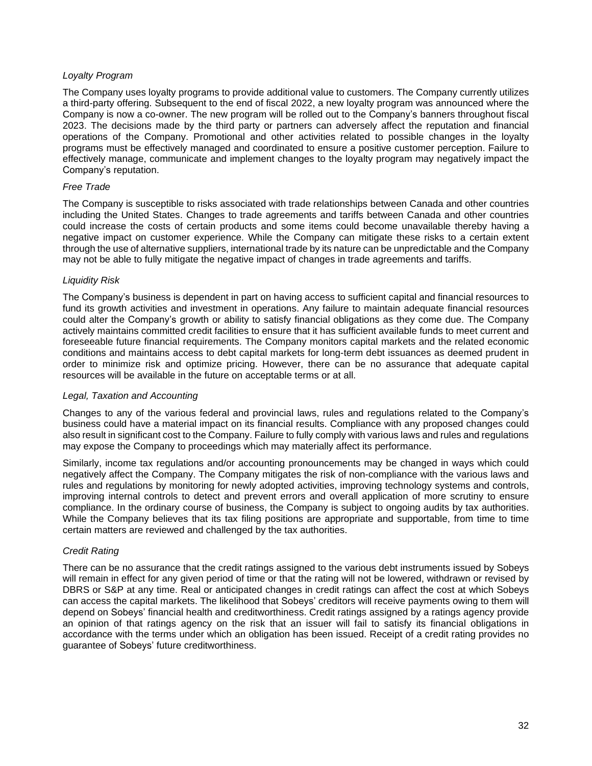#### *Loyalty Program*

The Company uses loyalty programs to provide additional value to customers. The Company currently utilizes a third-party offering. Subsequent to the end of fiscal 2022, a new loyalty program was announced where the Company is now a co-owner. The new program will be rolled out to the Company's banners throughout fiscal 2023. The decisions made by the third party or partners can adversely affect the reputation and financial operations of the Company. Promotional and other activities related to possible changes in the loyalty programs must be effectively managed and coordinated to ensure a positive customer perception. Failure to effectively manage, communicate and implement changes to the loyalty program may negatively impact the Company's reputation.

#### *Free Trade*

The Company is susceptible to risks associated with trade relationships between Canada and other countries including the United States. Changes to trade agreements and tariffs between Canada and other countries could increase the costs of certain products and some items could become unavailable thereby having a negative impact on customer experience. While the Company can mitigate these risks to a certain extent through the use of alternative suppliers, international trade by its nature can be unpredictable and the Company may not be able to fully mitigate the negative impact of changes in trade agreements and tariffs.

#### *Liquidity Risk*

The Company's business is dependent in part on having access to sufficient capital and financial resources to fund its growth activities and investment in operations. Any failure to maintain adequate financial resources could alter the Company's growth or ability to satisfy financial obligations as they come due. The Company actively maintains committed credit facilities to ensure that it has sufficient available funds to meet current and foreseeable future financial requirements. The Company monitors capital markets and the related economic conditions and maintains access to debt capital markets for long-term debt issuances as deemed prudent in order to minimize risk and optimize pricing. However, there can be no assurance that adequate capital resources will be available in the future on acceptable terms or at all.

#### *Legal, Taxation and Accounting*

Changes to any of the various federal and provincial laws, rules and regulations related to the Company's business could have a material impact on its financial results. Compliance with any proposed changes could also result in significant cost to the Company. Failure to fully comply with various laws and rules and regulations may expose the Company to proceedings which may materially affect its performance.

Similarly, income tax regulations and/or accounting pronouncements may be changed in ways which could negatively affect the Company. The Company mitigates the risk of non-compliance with the various laws and rules and regulations by monitoring for newly adopted activities, improving technology systems and controls, improving internal controls to detect and prevent errors and overall application of more scrutiny to ensure compliance. In the ordinary course of business, the Company is subject to ongoing audits by tax authorities. While the Company believes that its tax filing positions are appropriate and supportable, from time to time certain matters are reviewed and challenged by the tax authorities.

#### *Credit Rating*

There can be no assurance that the credit ratings assigned to the various debt instruments issued by Sobeys will remain in effect for any given period of time or that the rating will not be lowered, withdrawn or revised by DBRS or S&P at any time. Real or anticipated changes in credit ratings can affect the cost at which Sobeys can access the capital markets. The likelihood that Sobeys' creditors will receive payments owing to them will depend on Sobeys' financial health and creditworthiness. Credit ratings assigned by a ratings agency provide an opinion of that ratings agency on the risk that an issuer will fail to satisfy its financial obligations in accordance with the terms under which an obligation has been issued. Receipt of a credit rating provides no guarantee of Sobeys' future creditworthiness.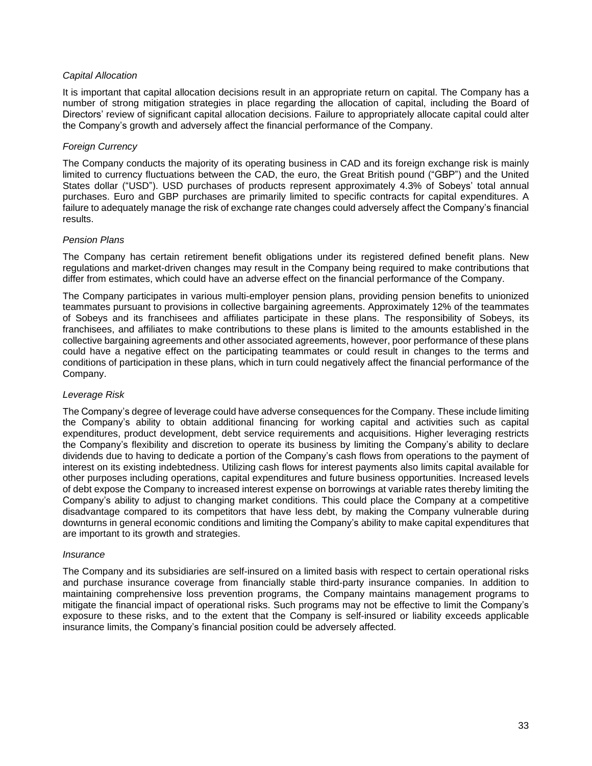#### *Capital Allocation*

It is important that capital allocation decisions result in an appropriate return on capital. The Company has a number of strong mitigation strategies in place regarding the allocation of capital, including the Board of Directors' review of significant capital allocation decisions. Failure to appropriately allocate capital could alter the Company's growth and adversely affect the financial performance of the Company.

#### *Foreign Currency*

The Company conducts the majority of its operating business in CAD and its foreign exchange risk is mainly limited to currency fluctuations between the CAD, the euro, the Great British pound ("GBP") and the United States dollar ("USD"). USD purchases of products represent approximately 4.3% of Sobeys' total annual purchases. Euro and GBP purchases are primarily limited to specific contracts for capital expenditures. A failure to adequately manage the risk of exchange rate changes could adversely affect the Company's financial results.

#### *Pension Plans*

The Company has certain retirement benefit obligations under its registered defined benefit plans. New regulations and market-driven changes may result in the Company being required to make contributions that differ from estimates, which could have an adverse effect on the financial performance of the Company.

The Company participates in various multi-employer pension plans, providing pension benefits to unionized teammates pursuant to provisions in collective bargaining agreements. Approximately 12% of the teammates of Sobeys and its franchisees and affiliates participate in these plans. The responsibility of Sobeys, its franchisees, and affiliates to make contributions to these plans is limited to the amounts established in the collective bargaining agreements and other associated agreements, however, poor performance of these plans could have a negative effect on the participating teammates or could result in changes to the terms and conditions of participation in these plans, which in turn could negatively affect the financial performance of the Company.

#### *Leverage Risk*

The Company's degree of leverage could have adverse consequences for the Company. These include limiting the Company's ability to obtain additional financing for working capital and activities such as capital expenditures, product development, debt service requirements and acquisitions. Higher leveraging restricts the Company's flexibility and discretion to operate its business by limiting the Company's ability to declare dividends due to having to dedicate a portion of the Company's cash flows from operations to the payment of interest on its existing indebtedness. Utilizing cash flows for interest payments also limits capital available for other purposes including operations, capital expenditures and future business opportunities. Increased levels of debt expose the Company to increased interest expense on borrowings at variable rates thereby limiting the Company's ability to adjust to changing market conditions. This could place the Company at a competitive disadvantage compared to its competitors that have less debt, by making the Company vulnerable during downturns in general economic conditions and limiting the Company's ability to make capital expenditures that are important to its growth and strategies.

#### *Insurance*

The Company and its subsidiaries are self-insured on a limited basis with respect to certain operational risks and purchase insurance coverage from financially stable third-party insurance companies. In addition to maintaining comprehensive loss prevention programs, the Company maintains management programs to mitigate the financial impact of operational risks. Such programs may not be effective to limit the Company's exposure to these risks, and to the extent that the Company is self-insured or liability exceeds applicable insurance limits, the Company's financial position could be adversely affected.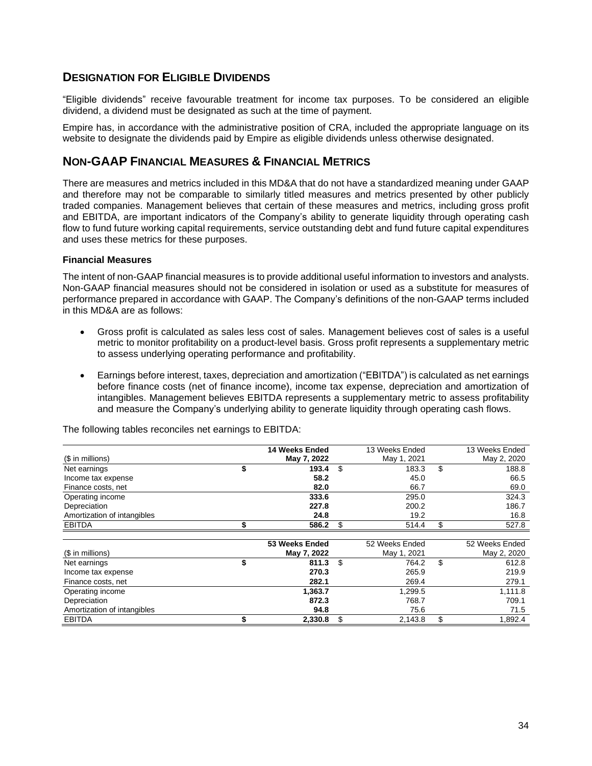## **DESIGNATION FOR ELIGIBLE DIVIDENDS**

"Eligible dividends" receive favourable treatment for income tax purposes. To be considered an eligible dividend, a dividend must be designated as such at the time of payment.

Empire has, in accordance with the administrative position of CRA, included the appropriate language on its website to designate the dividends paid by Empire as eligible dividends unless otherwise designated.

## **NON-GAAP FINANCIAL MEASURES & FINANCIAL METRICS**

There are measures and metrics included in this MD&A that do not have a standardized meaning under GAAP and therefore may not be comparable to similarly titled measures and metrics presented by other publicly traded companies. Management believes that certain of these measures and metrics, including gross profit and EBITDA, are important indicators of the Company's ability to generate liquidity through operating cash flow to fund future working capital requirements, service outstanding debt and fund future capital expenditures and uses these metrics for these purposes.

#### **Financial Measures**

The intent of non-GAAP financial measures is to provide additional useful information to investors and analysts. Non-GAAP financial measures should not be considered in isolation or used as a substitute for measures of performance prepared in accordance with GAAP. The Company's definitions of the non-GAAP terms included in this MD&A are as follows:

- Gross profit is calculated as sales less cost of sales. Management believes cost of sales is a useful metric to monitor profitability on a product-level basis. Gross profit represents a supplementary metric to assess underlying operating performance and profitability.
- Earnings before interest, taxes, depreciation and amortization ("EBITDA") is calculated as net earnings before finance costs (net of finance income), income tax expense, depreciation and amortization of intangibles. Management believes EBITDA represents a supplementary metric to assess profitability and measure the Company's underlying ability to generate liquidity through operating cash flows.

|                             | 14 Weeks Ended | 13 Weeks Ended | 13 Weeks Ended |
|-----------------------------|----------------|----------------|----------------|
| (\$ in millions)            | May 7, 2022    | May 1, 2021    | May 2, 2020    |
| Net earnings                | \$<br>193.4    | \$<br>183.3    | \$<br>188.8    |
| Income tax expense          | 58.2           | 45.0           | 66.5           |
| Finance costs, net          | 82.0           | 66.7           | 69.0           |
| Operating income            | 333.6          | 295.0          | 324.3          |
| Depreciation                | 227.8          | 200.2          | 186.7          |
| Amortization of intangibles | 24.8           | 19.2           | 16.8           |
| <b>EBITDA</b>               | 586.2          | \$<br>514.4    | \$<br>527.8    |
|                             |                |                |                |
|                             | 53 Weeks Ended | 52 Weeks Ended | 52 Weeks Ended |
| (\$ in millions)            | May 7, 2022    | May 1, 2021    | May 2, 2020    |
| Net earnings                | \$<br>811.3    | \$<br>764.2    | \$<br>612.8    |
| Income tax expense          | 270.3          | 265.9          | 219.9          |
| Finance costs, net          | 282.1          | 269.4          | 279.1          |
| Operating income            | 1,363.7        | 1,299.5        | 1,111.8        |
| Depreciation                | 872.3          | 768.7          | 709.1          |
| Amortization of intangibles | 94.8           | 75.6           | 71.5           |
| <b>EBITDA</b>               | 2,330.8        | 2,143.8        | \$<br>1,892.4  |

The following tables reconciles net earnings to EBITDA: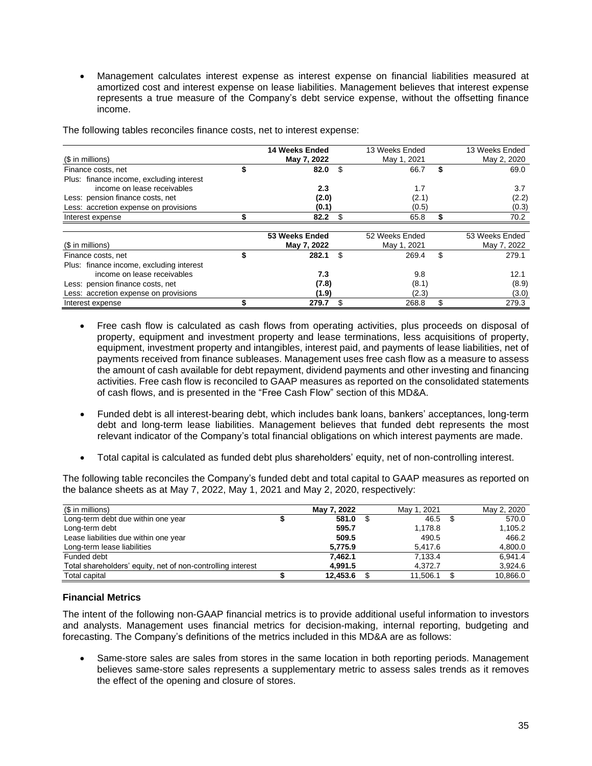• Management calculates interest expense as interest expense on financial liabilities measured at amortized cost and interest expense on lease liabilities. Management believes that interest expense represents a true measure of the Company's debt service expense, without the offsetting finance income.

|                                          | <b>14 Weeks Ended</b> | 13 Weeks Ended | 13 Weeks Ended |
|------------------------------------------|-----------------------|----------------|----------------|
| (\$ in millions)                         | May 7, 2022           | May 1, 2021    | May 2, 2020    |
| Finance costs, net                       | 82.0                  | \$<br>66.7     | \$<br>69.0     |
| Plus: finance income, excluding interest |                       |                |                |
| income on lease receivables              | 2.3                   | 1.7            | 3.7            |
| Less: pension finance costs, net         | (2.0)                 | (2.1)          | (2.2)          |
| Less: accretion expense on provisions    | (0.1)                 | (0.5)          | (0.3)          |
| Interest expense                         | 82.2                  | \$<br>65.8     | 70.2           |
|                                          | 53 Weeks Ended        | 52 Weeks Ended | 53 Weeks Ended |
| $$$ in millions)                         | May 7, 2022           | May 1, 2021    | May 7, 2022    |
| Finance costs, net                       | 282.1                 | \$<br>269.4    | \$<br>279.1    |
| Plus: finance income, excluding interest |                       |                |                |
| income on lease receivables              | 7.3                   | 9.8            | 12.1           |
| Less: pension finance costs, net         | (7.8)                 | (8.1)          | (8.9)          |
| Less: accretion expense on provisions    | (1.9)                 | (2.3)          | (3.0)          |
| Interest expense                         | 279.7                 | \$<br>268.8    | \$<br>279.3    |

The following tables reconciles finance costs, net to interest expense:

- Free cash flow is calculated as cash flows from operating activities, plus proceeds on disposal of property, equipment and investment property and lease terminations, less acquisitions of property, equipment, investment property and intangibles, interest paid, and payments of lease liabilities, net of payments received from finance subleases. Management uses free cash flow as a measure to assess the amount of cash available for debt repayment, dividend payments and other investing and financing activities. Free cash flow is reconciled to GAAP measures as reported on the consolidated statements of cash flows, and is presented in the "Free Cash Flow" section of this MD&A.
- Funded debt is all interest-bearing debt, which includes bank loans, bankers' acceptances, long-term debt and long-term lease liabilities. Management believes that funded debt represents the most relevant indicator of the Company's total financial obligations on which interest payments are made.
- Total capital is calculated as funded debt plus shareholders' equity, net of non-controlling interest.

The following table reconciles the Company's funded debt and total capital to GAAP measures as reported on the balance sheets as at May 7, 2022, May 1, 2021 and May 2, 2020, respectively:

| (\$ in millions)                                            | May 7, 2022 | May 1, 2021 | May 2, 2020 |
|-------------------------------------------------------------|-------------|-------------|-------------|
| Long-term debt due within one year                          | 581.0       | 46.5        | 570.0       |
| Long-term debt                                              | 595.7       | 1,178.8     | 1,105.2     |
| Lease liabilities due within one year                       | 509.5       | 490.5       | 466.2       |
| Long-term lease liabilities                                 | 5,775.9     | 5,417.6     | 4,800.0     |
| Funded debt                                                 | 7.462.1     | 7,133.4     | 6.941.4     |
| Total shareholders' equity, net of non-controlling interest | 4.991.5     | 4.372.7     | 3.924.6     |
| Total capital                                               | 12.453.6    | 11.506.1    | 10,866.0    |

#### **Financial Metrics**

The intent of the following non-GAAP financial metrics is to provide additional useful information to investors and analysts. Management uses financial metrics for decision-making, internal reporting, budgeting and forecasting. The Company's definitions of the metrics included in this MD&A are as follows:

• Same-store sales are sales from stores in the same location in both reporting periods. Management believes same-store sales represents a supplementary metric to assess sales trends as it removes the effect of the opening and closure of stores.